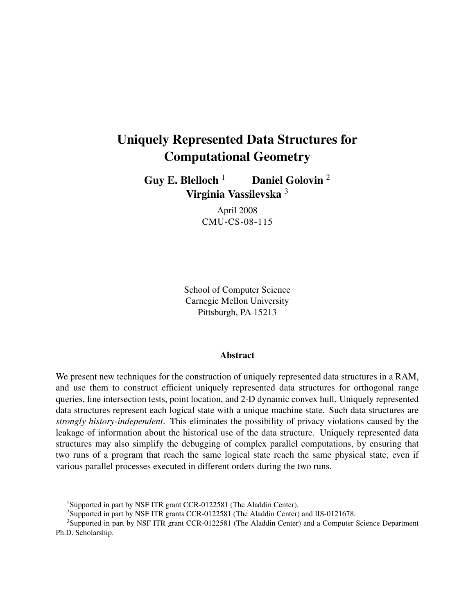## Uniquely Represented Data Structures for Computational Geometry

Guy E. Blelloch  $1$  Daniel Golovin  $2$ Virginia Vassilevska <sup>3</sup>

> April 2008 CMU-CS-08-115

School of Computer Science Carnegie Mellon University Pittsburgh, PA 15213

#### Abstract

We present new techniques for the construction of uniquely represented data structures in a RAM, and use them to construct efficient uniquely represented data structures for orthogonal range queries, line intersection tests, point location, and 2-D dynamic convex hull. Uniquely represented data structures represent each logical state with a unique machine state. Such data structures are *strongly history-independent*. This eliminates the possibility of privacy violations caused by the leakage of information about the historical use of the data structure. Uniquely represented data structures may also simplify the debugging of complex parallel computations, by ensuring that two runs of a program that reach the same logical state reach the same physical state, even if various parallel processes executed in different orders during the two runs.

<sup>&</sup>lt;sup>1</sup>Supported in part by NSF ITR grant CCR-0122581 (The Aladdin Center).

<sup>2</sup>Supported in part by NSF ITR grants CCR-0122581 (The Aladdin Center) and IIS-0121678.

<sup>3</sup>Supported in part by NSF ITR grant CCR-0122581 (The Aladdin Center) and a Computer Science Department Ph.D. Scholarship.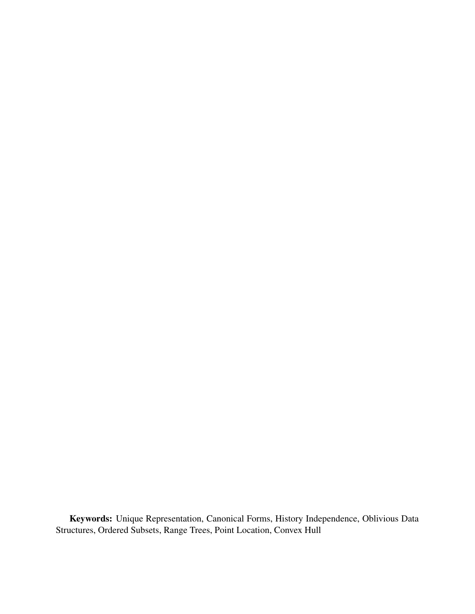Keywords: Unique Representation, Canonical Forms, History Independence, Oblivious Data Structures, Ordered Subsets, Range Trees, Point Location, Convex Hull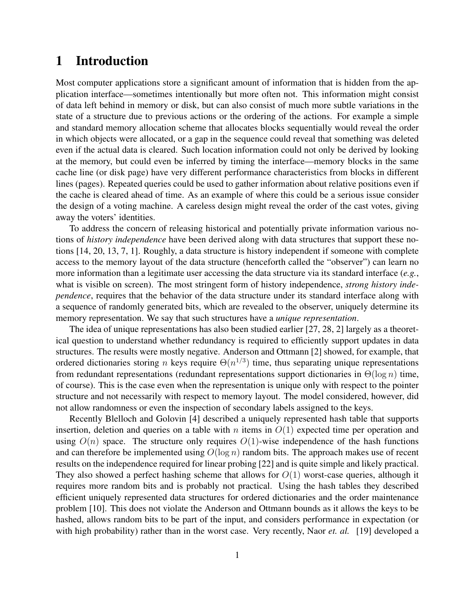## 1 Introduction

Most computer applications store a significant amount of information that is hidden from the application interface—sometimes intentionally but more often not. This information might consist of data left behind in memory or disk, but can also consist of much more subtle variations in the state of a structure due to previous actions or the ordering of the actions. For example a simple and standard memory allocation scheme that allocates blocks sequentially would reveal the order in which objects were allocated, or a gap in the sequence could reveal that something was deleted even if the actual data is cleared. Such location information could not only be derived by looking at the memory, but could even be inferred by timing the interface—memory blocks in the same cache line (or disk page) have very different performance characteristics from blocks in different lines (pages). Repeated queries could be used to gather information about relative positions even if the cache is cleared ahead of time. As an example of where this could be a serious issue consider the design of a voting machine. A careless design might reveal the order of the cast votes, giving away the voters' identities.

To address the concern of releasing historical and potentially private information various notions of *history independence* have been derived along with data structures that support these notions [\[14,](#page-24-0) [20,](#page-24-1) [13,](#page-24-2) [7,](#page-24-3) [1\]](#page-23-0). Roughly, a data structure is history independent if someone with complete access to the memory layout of the data structure (henceforth called the "observer") can learn no more information than a legitimate user accessing the data structure via its standard interface (*e.g.*, what is visible on screen). The most stringent form of history independence, *strong history independence*, requires that the behavior of the data structure under its standard interface along with a sequence of randomly generated bits, which are revealed to the observer, uniquely determine its memory representation. We say that such structures have a *unique representation*.

The idea of unique representations has also been studied earlier [\[27,](#page-25-0) [28,](#page-25-1) [2\]](#page-23-1) largely as a theoretical question to understand whether redundancy is required to efficiently support updates in data structures. The results were mostly negative. Anderson and Ottmann [\[2\]](#page-23-1) showed, for example, that ordered dictionaries storing n keys require  $\Theta(n^{1/3})$  time, thus separating unique representations from redundant representations (redundant representations support dictionaries in  $\Theta(\log n)$  time, of course). This is the case even when the representation is unique only with respect to the pointer structure and not necessarily with respect to memory layout. The model considered, however, did not allow randomness or even the inspection of secondary labels assigned to the keys.

Recently Blelloch and Golovin [\[4\]](#page-23-2) described a uniquely represented hash table that supports insertion, deletion and queries on a table with n items in  $O(1)$  expected time per operation and using  $O(n)$  space. The structure only requires  $O(1)$ -wise independence of the hash functions and can therefore be implemented using  $O(\log n)$  random bits. The approach makes use of recent results on the independence required for linear probing [\[22\]](#page-25-2) and is quite simple and likely practical. They also showed a perfect hashing scheme that allows for  $O(1)$  worst-case queries, although it requires more random bits and is probably not practical. Using the hash tables they described efficient uniquely represented data structures for ordered dictionaries and the order maintenance problem [\[10\]](#page-24-4). This does not violate the Anderson and Ottmann bounds as it allows the keys to be hashed, allows random bits to be part of the input, and considers performance in expectation (or with high probability) rather than in the worst case. Very recently, Naor *et. al.* [\[19\]](#page-24-5) developed a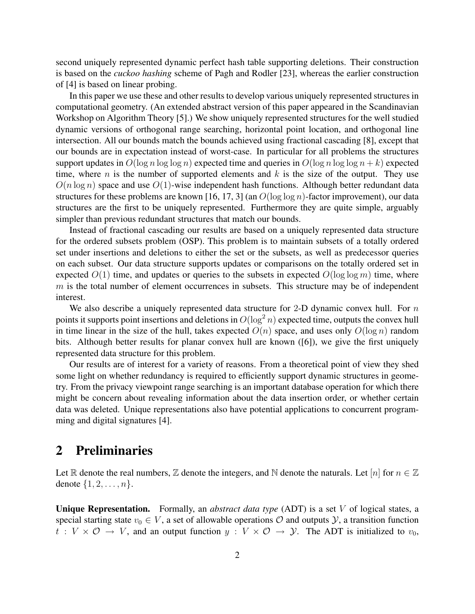second uniquely represented dynamic perfect hash table supporting deletions. Their construction is based on the *cuckoo hashing* scheme of Pagh and Rodler [\[23\]](#page-25-3), whereas the earlier construction of [\[4\]](#page-23-2) is based on linear probing.

In this paper we use these and other results to develop various uniquely represented structures in computational geometry. (An extended abstract version of this paper appeared in the Scandinavian Workshop on Algorithm Theory [\[5\]](#page-24-6).) We show uniquely represented structures for the well studied dynamic versions of orthogonal range searching, horizontal point location, and orthogonal line intersection. All our bounds match the bounds achieved using fractional cascading [\[8\]](#page-24-7), except that our bounds are in expectation instead of worst-case. In particular for all problems the structures support updates in  $O(\log n \log \log n)$  expected time and queries in  $O(\log n \log \log n + k)$  expected time, where  $n$  is the number of supported elements and  $k$  is the size of the output. They use  $O(n \log n)$  space and use  $O(1)$ -wise independent hash functions. Although better redundant data structures for these problems are known [\[16,](#page-24-8) [17,](#page-24-9) [3\]](#page-23-3) (an  $O(\log \log n)$ -factor improvement), our data structures are the first to be uniquely represented. Furthermore they are quite simple, arguably simpler than previous redundant structures that match our bounds.

Instead of fractional cascading our results are based on a uniquely represented data structure for the ordered subsets problem (OSP). This problem is to maintain subsets of a totally ordered set under insertions and deletions to either the set or the subsets, as well as predecessor queries on each subset. Our data structure supports updates or comparisons on the totally ordered set in expected  $O(1)$  time, and updates or queries to the subsets in expected  $O(\log \log m)$  time, where  $m$  is the total number of element occurrences in subsets. This structure may be of independent interest.

We also describe a uniquely represented data structure for 2-D dynamic convex hull. For  $n$ points it supports point insertions and deletions in  $O(\log^2 n)$  expected time, outputs the convex hull in time linear in the size of the hull, takes expected  $O(n)$  space, and uses only  $O(\log n)$  random bits. Although better results for planar convex hull are known ([\[6\]](#page-24-10)), we give the first uniquely represented data structure for this problem.

Our results are of interest for a variety of reasons. From a theoretical point of view they shed some light on whether redundancy is required to efficiently support dynamic structures in geometry. From the privacy viewpoint range searching is an important database operation for which there might be concern about revealing information about the data insertion order, or whether certain data was deleted. Unique representations also have potential applications to concurrent programming and digital signatures [\[4\]](#page-23-2).

### <span id="page-3-0"></span>2 Preliminaries

Let R denote the real numbers, Z denote the integers, and N denote the naturals. Let [n] for  $n \in \mathbb{Z}$ denote  $\{1, 2, ..., n\}$ .

Unique Representation. Formally, an *abstract data type* (ADT) is a set V of logical states, a special starting state  $v_0 \in V$ , a set of allowable operations  $\mathcal O$  and outputs  $\mathcal Y$ , a transition function  $t: V \times O \to V$ , and an output function  $y: V \times O \to V$ . The ADT is initialized to  $v_0$ ,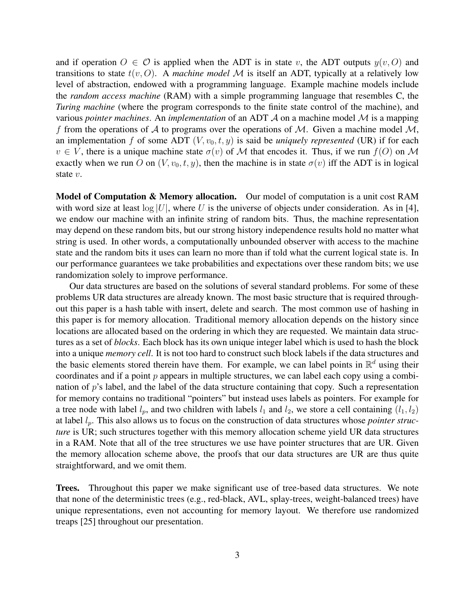and if operation  $O \in \mathcal{O}$  is applied when the ADT is in state v, the ADT outputs  $y(v, O)$  and transitions to state  $t(v, O)$ . A *machine model M* is itself an ADT, typically at a relatively low level of abstraction, endowed with a programming language. Example machine models include the *random access machine* (RAM) with a simple programming language that resembles C, the *Turing machine* (where the program corresponds to the finite state control of the machine), and various *pointer machines*. An *implementation* of an ADT A on a machine model M is a mapping f from the operations of A to programs over the operations of M. Given a machine model  $M$ , an implementation f of some ADT  $(V, v_0, t, y)$  is said be *uniquely represented* (UR) if for each  $v \in V$ , there is a unique machine state  $\sigma(v)$  of M that encodes it. Thus, if we run  $f(0)$  on M exactly when we run O on  $(V, v_0, t, y)$ , then the machine is in state  $\sigma(v)$  iff the ADT is in logical state v.

Model of Computation & Memory allocation. Our model of computation is a unit cost RAM with word size at least  $\log |U|$ , where U is the universe of objects under consideration. As in [\[4\]](#page-23-2), we endow our machine with an infinite string of random bits. Thus, the machine representation may depend on these random bits, but our strong history independence results hold no matter what string is used. In other words, a computationally unbounded observer with access to the machine state and the random bits it uses can learn no more than if told what the current logical state is. In our performance guarantees we take probabilities and expectations over these random bits; we use randomization solely to improve performance.

Our data structures are based on the solutions of several standard problems. For some of these problems UR data structures are already known. The most basic structure that is required throughout this paper is a hash table with insert, delete and search. The most common use of hashing in this paper is for memory allocation. Traditional memory allocation depends on the history since locations are allocated based on the ordering in which they are requested. We maintain data structures as a set of *blocks*. Each block has its own unique integer label which is used to hash the block into a unique *memory cell*. It is not too hard to construct such block labels if the data structures and the basic elements stored therein have them. For example, we can label points in  $\mathbb{R}^d$  using their coordinates and if a point  $p$  appears in multiple structures, we can label each copy using a combination of  $p$ 's label, and the label of the data structure containing that copy. Such a representation for memory contains no traditional "pointers" but instead uses labels as pointers. For example for a tree node with label  $l_p$ , and two children with labels  $l_1$  and  $l_2$ , we store a cell containing  $(l_1, l_2)$ at label lp. This also allows us to focus on the construction of data structures whose *pointer structure* is UR; such structures together with this memory allocation scheme yield UR data structures in a RAM. Note that all of the tree structures we use have pointer structures that are UR. Given the memory allocation scheme above, the proofs that our data structures are UR are thus quite straightforward, and we omit them.

Trees. Throughout this paper we make significant use of tree-based data structures. We note that none of the deterministic trees (e.g., red-black, AVL, splay-trees, weight-balanced trees) have unique representations, even not accounting for memory layout. We therefore use randomized treaps [\[25\]](#page-25-4) throughout our presentation.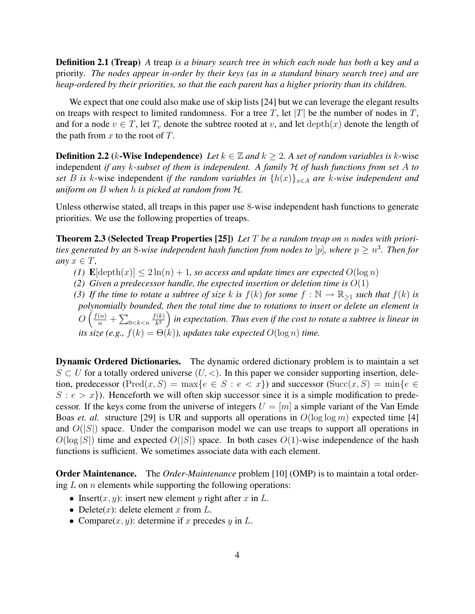Definition 2.1 (Treap) *A* treap *is a binary search tree in which each node has both a* key *and a* priority*. The nodes appear in-order by their keys (as in a standard binary search tree) and are heap-ordered by their priorities, so that the each parent has a higher priority than its children.*

We expect that one could also make use of skip lists [\[24\]](#page-25-5) but we can leverage the elegant results on treaps with respect to limited randomness. For a tree T, let |T| be the number of nodes in T, and for a node  $v \in T$ , let  $T_v$  denote the subtree rooted at v, and let  $\text{depth}(x)$  denote the length of the path from  $x$  to the root of  $T$ .

**Definition 2.2** (k-Wise Independence) Let  $k \in \mathbb{Z}$  and  $k \geq 2$ . A set of random variables is k-wise independent *if any* k*-subset of them is independent. A family* H *of hash functions from set* A *to set* B *is* k-wise independent *if the random variables in*  $\{h(x)\}_{x \in A}$  *are* k-wise independent and *uniform on* B *when* h *is picked at random from* H*.*

Unless otherwise stated, all treaps in this paper use 8-wise independent hash functions to generate priorities. We use the following properties of treaps.

<span id="page-5-0"></span>Theorem 2.3 (Selected Treap Properties [\[25\]](#page-25-4)) *Let* T *be a random treap on* n *nodes with priori*ties generated by an 8-wise independent hash function from nodes to  $[p]$ , where  $p \geq n^3$ . Then for *any*  $x \in T$ ,

- *(1)*  $\mathbf{E}[\text{depth}(x)] \leq 2\ln(n) + 1$ *, so access and update times are expected*  $O(\log n)$
- (2) *Given a predecessor handle, the expected insertion or deletion time is*  $O(1)$
- *(3)* If the time to rotate a subtree of size k is  $f(k)$  for some  $f : \mathbb{N} \to \mathbb{R}_{\geq 1}$  such that  $f(k)$  is *polynomially bounded, then the total time due to rotations to insert or delete an element is*  $O\left(\frac{f(n)}{n} + \sum_{0 < k < n} \right)$  $f(k)$  $\overline{k^{(k)}\choose k^2}$  in expectation. Thus even if the cost to rotate a subtree is linear in *its size (e.g.,*  $f(k) = \Theta(k)$ ), updates take expected  $O(\log n)$  time.

**Dynamic Ordered Dictionaries.** The dynamic ordered dictionary problem is to maintain a set  $S \subset U$  for a totally ordered universe  $(U, \le)$ . In this paper we consider supporting insertion, deletion, predecessor (Pred $(x, S) = \max\{e \in S : e < x\}$ ) and successor (Succ $(x, S) = \min\{e \in S : e < x\}$ )  $S: e > x$ ). Henceforth we will often skip successor since it is a simple modification to predecessor. If the keys come from the universe of integers  $U = [m]$  a simple variant of the Van Emde Boas *et. al.* structure [\[29\]](#page-25-6) is UR and supports all operations in  $O(\log \log m)$  expected time [\[4\]](#page-23-2) and  $O(|S|)$  space. Under the comparison model we can use treaps to support all operations in  $O(\log |S|)$  time and expected  $O(|S|)$  space. In both cases  $O(1)$ -wise independence of the hash functions is sufficient. We sometimes associate data with each element.

Order Maintenance. The *Order-Maintenance* problem [\[10\]](#page-24-4) (OMP) is to maintain a total ordering  $L$  on  $n$  elements while supporting the following operations:

- Insert $(x, y)$ : insert new element y right after x in L.
- Delete $(x)$ : delete element x from L.
- Compare $(x, y)$ : determine if x precedes y in L.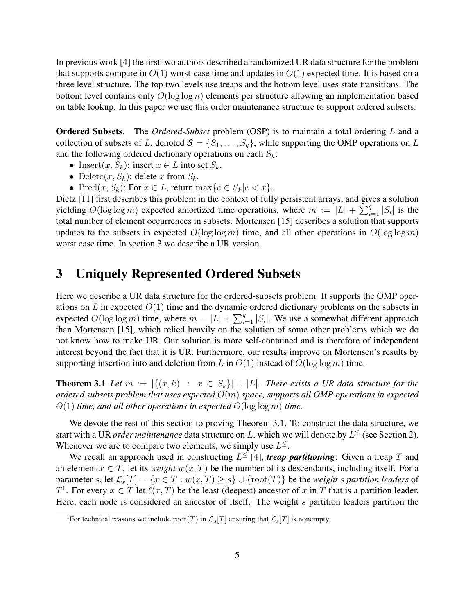In previous work [\[4\]](#page-23-2) the first two authors described a randomized UR data structure for the problem that supports compare in  $O(1)$  worst-case time and updates in  $O(1)$  expected time. It is based on a three level structure. The top two levels use treaps and the bottom level uses state transitions. The bottom level contains only  $O(\log \log n)$  elements per structure allowing an implementation based on table lookup. In this paper we use this order maintenance structure to support ordered subsets.

Ordered Subsets. The *Ordered-Subset* problem (OSP) is to maintain a total ordering L and a collection of subsets of L, denoted  $S = \{S_1, \ldots, S_q\}$ , while supporting the OMP operations on L and the following ordered dictionary operations on each  $S_k$ :

- Insert $(x, S_k)$ : insert  $x \in L$  into set  $S_k$ .
- Delete $(x, S_k)$ : delete x from  $S_k$ .
- Pred $(x, S_k)$ : For  $x \in L$ , return max $\{e \in S_k | e < x\}$ .

Dietz [\[11\]](#page-24-11) first describes this problem in the context of fully persistent arrays, and gives a solution yielding  $O(\log \log m)$  expected amortized time operations, where  $m := |L| + \sum_{i=1}^{q} |S_i|$  is the total number of element occurrences in subsets. Mortensen [\[15\]](#page-24-12) describes a solution that supports updates to the subsets in expected  $O(\log \log m)$  time, and all other operations in  $O(\log \log m)$ worst case time. In section [3](#page-6-0) we describe a UR version.

## <span id="page-6-0"></span>3 Uniquely Represented Ordered Subsets

Here we describe a UR data structure for the ordered-subsets problem. It supports the OMP operations on  $L$  in expected  $O(1)$  time and the dynamic ordered dictionary problems on the subsets in expected  $O(\log \log m)$  time, where  $m = |L| + \sum_{i=1}^{q} |S_i|$ . We use a somewhat different approach than Mortensen [\[15\]](#page-24-12), which relied heavily on the solution of some other problems which we do not know how to make UR. Our solution is more self-contained and is therefore of independent interest beyond the fact that it is UR. Furthermore, our results improve on Mortensen's results by supporting insertion into and deletion from L in  $O(1)$  instead of  $O(\log \log m)$  time.

<span id="page-6-1"></span>**Theorem 3.1** Let  $m := |\{(x, k) : x \in S_k\}| + |L|$ . There exists a UR data structure for the *ordered subsets problem that uses expected* O(m) *space, supports all OMP operations in expected*  $O(1)$  *time, and all other operations in expected*  $O(\log \log m)$  *time.* 

We devote the rest of this section to proving Theorem [3.1.](#page-6-1) To construct the data structure, we start with a UR *order maintenance* data structure on L, which we will denote by  $L^{\leq}$  (see Section [2\)](#page-3-0). Whenever we are to compare two elements, we simply use  $L^{\leq}$ .

We recall an approach used in constructing  $L^{\leq}$  [\[4\]](#page-23-2), *treap partitioning*: Given a treap T and an element  $x \in T$ , let its *weight*  $w(x, T)$  be the number of its descendants, including itself. For a parameter s, let  $\mathcal{L}_s[T] = \{x \in T : w(x,T) \geq s\} \cup \{\text{root}(T)\}\$  be the *weight* s partition leaders of T<sup>1</sup>. For every  $x \in T$  let  $\ell(x,T)$  be the least (deepest) ancestor of x in T that is a partition leader. Here, each node is considered an ancestor of itself. The weight s partition leaders partition the

<sup>&</sup>lt;sup>1</sup>For technical reasons we include  $\text{root}(T)$  in  $\mathcal{L}_s[T]$  ensuring that  $\mathcal{L}_s[T]$  is nonempty.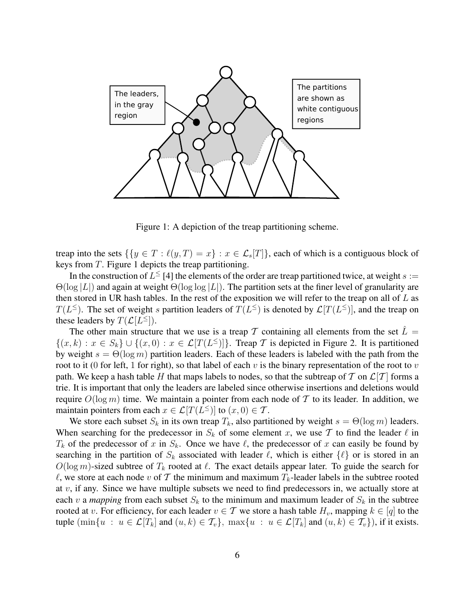

<span id="page-7-0"></span>Figure 1: A depiction of the treap partitioning scheme.

treap into the sets  $\{ \{y \in T : \ell(y, T) = x \} : x \in \mathcal{L}_s[T] \}$ , each of which is a contiguous block of keys from T. Figure [1](#page-7-0) depicts the treap partitioning.

In the construction of  $L^{\leq}$  [\[4\]](#page-23-2) the elements of the order are treap partitioned twice, at weight  $s :=$  $\Theta(\log |L|)$  and again at weight  $\Theta(\log \log |L|)$ . The partition sets at the finer level of granularity are then stored in UR hash tables. In the rest of the exposition we will refer to the treap on all of  $L$  as  $T(L^{\leq})$ . The set of weight s partition leaders of  $T(L^{\leq})$  is denoted by  $\mathcal{L}[T(L^{\leq})]$ , and the treap on these leaders by  $T(L[L^{\leq}]).$ 

The other main structure that we use is a treap T containing all elements from the set  $\bar{L}$  =  $\{(x,k): x \in S_k\} \cup \{(x,0): x \in \mathcal{L}[T(L^{\leq})]\}.$  Treap T is depicted in Figure [2.](#page-8-0) It is partitioned by weight  $s = \Theta(\log m)$  partition leaders. Each of these leaders is labeled with the path from the root to it (0 for left, 1 for right), so that label of each v is the binary representation of the root to v path. We keep a hash table H that maps labels to nodes, so that the subtreap of T on  $\mathcal{L}[\mathcal{T}]$  forms a trie. It is important that only the leaders are labeled since otherwise insertions and deletions would require  $O(\log m)$  time. We maintain a pointer from each node of T to its leader. In addition, we maintain pointers from each  $x \in \mathcal{L}[T(L^{\leq})]$  to  $(x, 0) \in \mathcal{T}$ .

We store each subset  $S_k$  in its own treap  $T_k$ , also partitioned by weight  $s = \Theta(\log m)$  leaders. When searching for the predecessor in  $S_k$  of some element x, we use T to find the leader  $\ell$  in  $T_k$  of the predecessor of x in  $S_k$ . Once we have  $\ell$ , the predecessor of x can easily be found by searching in the partition of  $S_k$  associated with leader  $\ell$ , which is either  $\{\ell\}$  or is stored in an  $O(\log m)$ -sized subtree of  $T_k$  rooted at  $\ell$ . The exact details appear later. To guide the search for  $\ell$ , we store at each node v of T the minimum and maximum  $T_k$ -leader labels in the subtree rooted at  $v$ , if any. Since we have multiple subsets we need to find predecessors in, we actually store at each v a *mapping* from each subset  $S_k$  to the minimum and maximum leader of  $S_k$  in the subtree rooted at v. For efficiency, for each leader  $v \in \mathcal{T}$  we store a hash table  $H_v$ , mapping  $k \in [q]$  to the tuple  $(\min\{u : u \in \mathcal{L}[T_k] \text{ and } (u,k) \in \mathcal{T}_v\}, \max\{u : u \in \mathcal{L}[T_k] \text{ and } (u,k) \in \mathcal{T}_v\}),$  if it exists.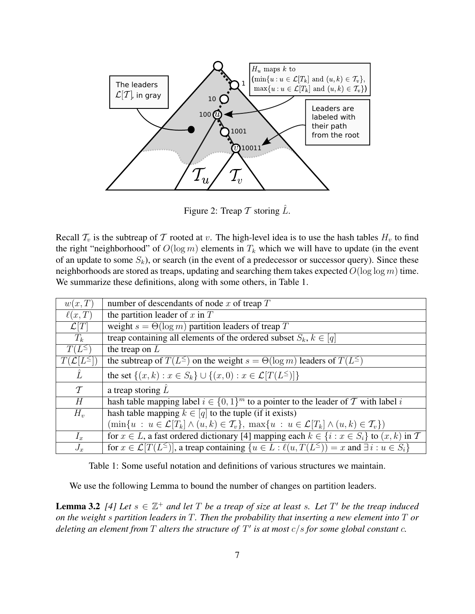

<span id="page-8-0"></span>Figure 2: Treap  $\mathcal T$  storing  $L$ .

Recall  $\mathcal{T}_v$  is the subtreap of  $\mathcal T$  rooted at v. The high-level idea is to use the hash tables  $H_v$  to find the right "neighborhood" of  $O(\log m)$  elements in  $T_k$  which we will have to update (in the event of an update to some  $S_k$ ), or search (in the event of a predecessor or successor query). Since these neighborhoods are stored as treaps, updating and searching them takes expected  $O(\log \log m)$  time. We summarize these definitions, along with some others, in Table [1.](#page-8-1)

| w(x,T)                     | number of descendants of node $x$ of treap $T$                                                                                           |
|----------------------------|------------------------------------------------------------------------------------------------------------------------------------------|
| $\ell(x,T)$                | the partition leader of $x$ in $T$                                                                                                       |
| $\mathcal{L}[T]$           | weight $s = \Theta(\log m)$ partition leaders of treap T                                                                                 |
| $T_k$                      | treap containing all elements of the ordered subset $S_k, k \in [q]$                                                                     |
| $T(L^{\leq})$              | the treap on $L$                                                                                                                         |
| $T(\mathcal{L}[L^{\leq}])$ | the subtreap of $T(L^{\leq})$ on the weight $s = \Theta(\log m)$ leaders of $T(L^{\leq})$                                                |
| Ê                          | the set $\{(x,k): x \in S_k\} \cup \{(x,0): x \in \mathcal{L}[T(L^{\leq})]\}$                                                            |
| $\mathcal{T}$              | a treap storing $\hat{L}$                                                                                                                |
| H                          | hash table mapping label $i \in \{0,1\}^m$ to a pointer to the leader of T with label i                                                  |
| $H_v$                      | hash table mapping $k \in [q]$ to the tuple (if it exists)                                                                               |
|                            | $(\min\{u : u \in \mathcal{L}[T_k] \wedge (u,k) \in \mathcal{T}_v\}, \max\{u : u \in \mathcal{L}[T_k] \wedge (u,k) \in \mathcal{T}_v\})$ |
| $I_x$                      | for $x \in L$ , a fast ordered dictionary [4] mapping each $k \in \{i : x \in S_i\}$ to $(x, k)$ in T                                    |
| $J_x$                      | for $x \in \mathcal{L}[T(L^{\leq})]$ , a treap containing $\{u \in L : \ell(u, T(L^{\leq})) = x \text{ and } \exists i : u \in S_i\}$    |

<span id="page-8-1"></span>Table 1: Some useful notation and definitions of various structures we maintain.

We use the following Lemma to bound the number of changes on partition leaders.

<span id="page-8-2"></span>**Lemma 3.2** [\[4\]](#page-23-2) Let  $s \in \mathbb{Z}^+$  and let T be a treap of size at least s. Let T' be the treap induced *on the weight* s *partition leaders in* T*. Then the probability that inserting a new element into* T *or deleting an element from* T *alters the structure of* T 0 *is at most* c/s *for some global constant* c*.*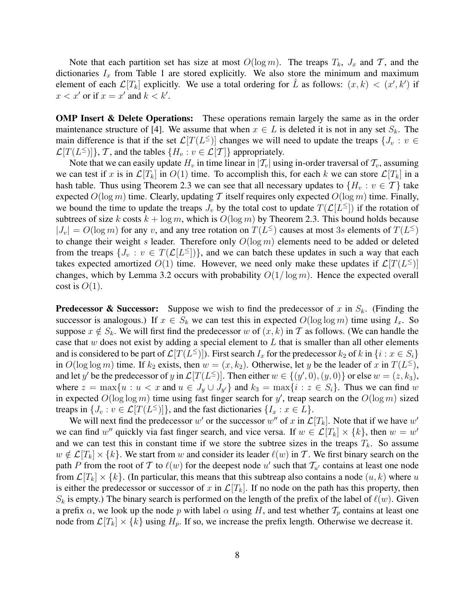Note that each partition set has size at most  $O(\log m)$ . The treaps  $T_k$ ,  $J_x$  and  $\mathcal{T}$ , and the dictionaries  $I_x$  from Table [1](#page-8-1) are stored explicitly. We also store the minimum and maximum element of each  $\mathcal{L}[T_k]$  explicitly. We use a total ordering for  $\hat{L}$  as follows:  $(x, k) < (x', k')$  if  $x < x'$  or if  $x = x'$  and  $k < k'$ .

**OMP Insert & Delete Operations:** These operations remain largely the same as in the order maintenance structure of [\[4\]](#page-23-2). We assume that when  $x \in L$  is deleted it is not in any set  $S_k$ . The main difference is that if the set  $\mathcal{L}[T(L^{\leq})]$  changes we will need to update the treaps  $\{J_v : v \in$  $\mathcal{L}[T(L^{\leq})]\}, T$ , and the tables  $\{H_v : v \in \mathcal{L}[T]\}$  appropriately.

Note that we can easily update  $H_v$  in time linear in  $|\mathcal{T}_v|$  using in-order traversal of  $\mathcal{T}_v$ , assuming we can test if x is in  $\mathcal{L}[T_k]$  in  $O(1)$  time. To accomplish this, for each k we can store  $\mathcal{L}[T_k]$  in a hash table. Thus using Theorem [2.3](#page-5-0) we can see that all necessary updates to  $\{H_v : v \in \mathcal{T}\}\$  take expected  $O(\log m)$  time. Clearly, updating T itself requires only expected  $O(\log m)$  time. Finally, we bound the time to update the treaps  $J_v$  by the total cost to update  $T(L[L^{\leq}])$  if the rotation of subtrees of size k costs  $k + \log m$ , which is  $O(\log m)$  by Theorem [2.3.](#page-5-0) This bound holds because  $|J_v| = O(\log m)$  for any v, and any tree rotation on  $T(L^{\le})$  causes at most 3s elements of  $T(L^{\le})$ to change their weight s leader. Therefore only  $O(\log m)$  elements need to be added or deleted from the treaps  $\{J_v : v \in T(\mathcal{L}[L^{\leq}])\}$ , and we can batch these updates in such a way that each takes expected amortized  $O(1)$  time. However, we need only make these updates if  $\mathcal{L}[T(L^{\leq})]$ changes, which by Lemma [3.2](#page-8-2) occurs with probability  $O(1/\log m)$ . Hence the expected overall cost is  $O(1)$ .

**Predecessor & Successor:** Suppose we wish to find the predecessor of x in  $S_k$ . (Finding the successor is analogous.) If  $x \in S_k$  we can test this in expected  $O(\log \log m)$  time using  $I_x$ . So suppose  $x \notin S_k$ . We will first find the predecessor w of  $(x, k)$  in T as follows. (We can handle the case that w does not exist by adding a special element to  $L$  that is smaller than all other elements and is considered to be part of  $\mathcal{L}[T(L^{\leq})]$ ). First search  $I_x$  for the predecessor  $k_2$  of  $k$  in  $\{i : x \in S_i\}$ in  $O(\log \log m)$  time. If  $k_2$  exists, then  $w = (x, k_2)$ . Otherwise, let y be the leader of x in  $T(L^{\leq})$ , and let y' be the predecessor of y in  $\mathcal{L}[T(L^{\leq})]$ . Then either  $w \in \{(y', 0), (y, 0)\}$  or else  $w = (z, k_3)$ , where  $z = \max\{u : u < x \text{ and } u \in J_y \cup J_{y'}\}$  and  $k_3 = \max\{i : z \in S_i\}$ . Thus we can find w in expected  $O(\log \log m)$  time using fast finger search for y', treap search on the  $O(\log m)$  sized treaps in  $\{J_v : v \in \mathcal{L}[T(L^{\leq})]\}$ , and the fast dictionaries  $\{I_x : x \in L\}$ .

We will next find the predecessor w' or the successor w'' of x in  $\mathcal{L}[T_k]$ . Note that if we have w' we can find w'' quickly via fast finger search, and vice versa. If  $w \in \mathcal{L}[T_k] \times \{k\}$ , then  $w = w'$ and we can test this in constant time if we store the subtree sizes in the treaps  $T_k$ . So assume  $w \notin \mathcal{L}[T_k] \times \{k\}$ . We start from w and consider its leader  $\ell(w)$  in T. We first binary search on the path P from the root of T to  $\ell(w)$  for the deepest node u' such that  $\mathcal{T}_{u'}$  contains at least one node from  $\mathcal{L}[T_k] \times \{k\}$ . (In particular, this means that this subtreap also contains a node  $(u, k)$  where u is either the predecessor or successor of x in  $\mathcal{L}[T_k]$ . If no node on the path has this property, then  $S_k$  is empty.) The binary search is performed on the length of the prefix of the label of  $\ell(w)$ . Given a prefix  $\alpha$ , we look up the node p with label  $\alpha$  using H, and test whether  $\mathcal{T}_p$  contains at least one node from  $\mathcal{L}[T_k] \times \{k\}$  using  $H_p$ . If so, we increase the prefix length. Otherwise we decrease it.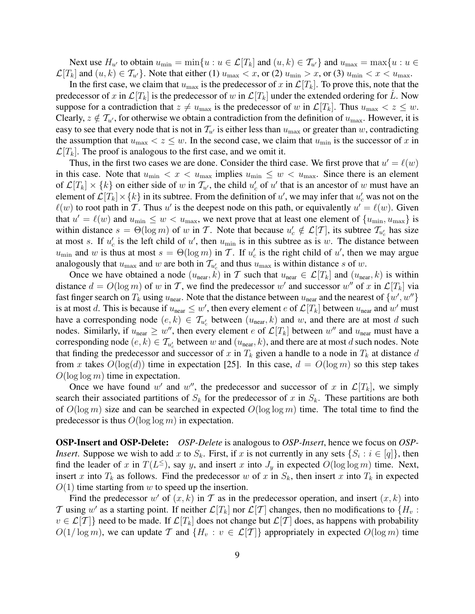Next use  $H_{u'}$  to obtain  $u_{\min} = \min\{u : u \in \mathcal{L}[T_k] \text{ and } (u,k) \in \mathcal{T}_{u'}\}\$  and  $u_{\max} = \max\{u : u \in \mathcal{T}_{u'}\}$  $\mathcal{L}[T_k]$  and  $(u, k) \in \mathcal{T}_{u'}$ . Note that either (1)  $u_{\text{max}} < x$ , or (2)  $u_{\text{min}} > x$ , or (3)  $u_{\text{min}} < x < u_{\text{max}}$ .

In the first case, we claim that  $u_{\text{max}}$  is the predecessor of x in  $\mathcal{L}[T_k]$ . To prove this, note that the predecessor of x in  $\mathcal{L}[T_k]$  is the predecessor of w in  $\mathcal{L}[T_k]$  under the extended ordering for L. Now suppose for a contradiction that  $z \neq u_{\text{max}}$  is the predecessor of w in  $\mathcal{L}[T_k]$ . Thus  $u_{\text{max}} < z \leq w$ . Clearly,  $z \notin \mathcal{T}_{u'}$ , for otherwise we obtain a contradiction from the definition of  $u_{\text{max}}$ . However, it is easy to see that every node that is not in  $T_{u'}$  is either less than  $u_{\text{max}}$  or greater than w, contradicting the assumption that  $u_{\text{max}} < z \leq w$ . In the second case, we claim that  $u_{\text{min}}$  is the successor of x in  $\mathcal{L}[T_k]$ . The proof is analogous to the first case, and we omit it.

Thus, in the first two cases we are done. Consider the third case. We first prove that  $u' = \ell(w)$ in this case. Note that  $u_{\min} < x < u_{\max}$  implies  $u_{\min} \leq w < u_{\max}$ . Since there is an element of  $\mathcal{L}[T_k] \times \{k\}$  on either side of w in  $\mathcal{T}_{u'}$ , the child  $u'_c$  of  $u'$  that is an ancestor of w must have an element of  $\mathcal{L}[T_k] \times \{k\}$  in its subtree. From the definition of u', we may infer that  $u'_c$  was not on the  $\ell(w)$  to root path in T. Thus u' is the deepest node on this path, or equivalently  $u' = \ell(w)$ . Given that  $u' = \ell(w)$  and  $u_{\min} \leq w < u_{\max}$ , we next prove that at least one element of  $\{u_{\min}, u_{\max}\}\$  is within distance  $s = \Theta(\log m)$  of w in T. Note that because  $u'_c \notin \mathcal{L}[T]$ , its subtree  $\mathcal{T}_{u'_c}$  has size at most s. If  $u'_c$  is the left child of u', then  $u_{\min}$  is in this subtree as is w. The distance between  $u_{\text{min}}$  and w is thus at most  $s = \Theta(\log m)$  in T. If  $u'_c$  is the right child of u', then we may argue analogously that  $u_{\text{max}}$  and w are both in  $\mathcal{T}_{u_c}$  and thus  $u_{\text{max}}$  is within distance s of w.

Once we have obtained a node  $(u_{\text{near}}, k)$  in T such that  $u_{\text{near}} \in \mathcal{L}[T_k]$  and  $(u_{\text{near}}, k)$  is within distance  $d = O(\log m)$  of w in T, we find the predecessor w' and successor w'' of x in  $\mathcal{L}[T_k]$  via fast finger search on  $T_k$  using  $u_{\text{near}}$ . Note that the distance between  $u_{\text{near}}$  and the nearest of  $\{w', w''\}$ is at most d. This is because if  $u_{\text{near}} \leq w'$ , then every element e of  $\mathcal{L}[T_k]$  between  $u_{\text{near}}$  and  $w'$  must have a corresponding node  $(e, k) \in \mathcal{T}_{u'_c}$  between  $(u_{\text{near}}, k)$  and w, and there are at most d such nodes. Similarly, if  $u_{\text{near}} \geq w''$ , then every element e of  $\mathcal{L}[T_k]$  between  $w''$  and  $u_{\text{near}}$  must have a corresponding node  $(e, k) \in \mathcal{T}_{u'_c}$  between  $w$  and  $(u_{\text{near}}, k)$ , and there are at most  $d$  such nodes. Note that finding the predecessor and successor of x in  $T_k$  given a handle to a node in  $T_k$  at distance d from x takes  $O(\log(d))$  time in expectation [\[25\]](#page-25-4). In this case,  $d = O(\log m)$  so this step takes  $O(\log \log m)$  time in expectation.

Once we have found w' and w'', the predecessor and successor of x in  $\mathcal{L}[T_k]$ , we simply search their associated partitions of  $S_k$  for the predecessor of x in  $S_k$ . These partitions are both of  $O(\log m)$  size and can be searched in expected  $O(\log \log m)$  time. The total time to find the predecessor is thus  $O(\log \log m)$  in expectation.

OSP-Insert and OSP-Delete: *OSP-Delete* is analogous to *OSP-Insert*, hence we focus on *OSP-Insert*. Suppose we wish to add x to  $S_k$ . First, if x is not currently in any sets  $\{S_i : i \in [q]\}$ , then find the leader of x in  $T(L^{\leq})$ , say y, and insert x into  $J_y$  in expected  $O(\log \log m)$  time. Next, insert x into  $T_k$  as follows. Find the predecessor w of x in  $S_k$ , then insert x into  $T_k$  in expected  $O(1)$  time starting from w to speed up the insertion.

Find the predecessor w' of  $(x, k)$  in T as in the predecessor operation, and insert  $(x, k)$  into T using w' as a starting point. If neither  $\mathcal{L}[T_k]$  nor  $\mathcal{L}[T]$  changes, then no modifications to  $\{H_v:$  $v \in \mathcal{L}[T]$  need to be made. If  $\mathcal{L}[T_k]$  does not change but  $\mathcal{L}[T]$  does, as happens with probability  $O(1/\log m)$ , we can update T and  $\{H_v : v \in \mathcal{L}[T]\}$  appropriately in expected  $O(\log m)$  time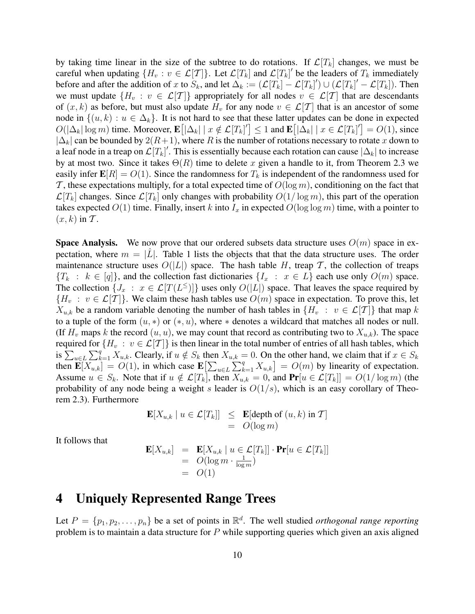by taking time linear in the size of the subtree to do rotations. If  $\mathcal{L}[T_k]$  changes, we must be careful when updating  $\{H_v : v \in \mathcal{L}[\mathcal{T}]\}$ . Let  $\mathcal{L}[T_k]$  and  $\mathcal{L}[T_k]'$  be the leaders of  $T_k$  immediately before and after the addition of x to  $S_k$ , and let  $\Delta_k := (\mathcal{L}[T_k] - \mathcal{L}[T_k]) \cup (\mathcal{L}[T_k] - \mathcal{L}[T_k])$ . Then we must update  $\{H_v : v \in \mathcal{L}[\mathcal{T}]\}$  appropriately for all nodes  $v \in \mathcal{L}[\mathcal{T}]$  that are descendants of  $(x, k)$  as before, but must also update  $H_v$  for any node  $v \in \mathcal{L}[T]$  that is an ancestor of some node in  $\{(u, k) : u \in \Delta_k\}$ . It is not hard to see that these latter updates can be done in expected  $O(|\Delta_k| \log m)$  time. Moreover,  $\mathbf{E} [|\Delta_k| \mid x \notin \mathcal{L}[T_k]'] \leq 1$  and  $\mathbf{E} [|\Delta_k| \mid x \in \mathcal{L}[T_k]'] = O(1)$ , since  $|\Delta_k|$  can be bounded by  $2(R+1)$ , where R is the number of rotations necessary to rotate x down to a leaf node in a treap on  $\mathcal{L}[T_k]'$ . This is essentially because each rotation can cause  $|\Delta_k|$  to increase by at most two. Since it takes  $\Theta(R)$  time to delete x given a handle to it, from Theorem [2.3](#page-5-0) we easily infer  $\mathbf{E}[R] = O(1)$ . Since the randomness for  $T_k$  is independent of the randomness used for T, these expectations multiply, for a total expected time of  $O(\log m)$ , conditioning on the fact that  $\mathcal{L}[T_k]$  changes. Since  $\mathcal{L}[T_k]$  only changes with probability  $O(1/\log m)$ , this part of the operation takes expected  $O(1)$  time. Finally, insert k into  $I_x$  in expected  $O(\log \log m)$  time, with a pointer to  $(x, k)$  in T.

**Space Analysis.** We now prove that our ordered subsets data structure uses  $O(m)$  space in expectation, where  $m = |L|$ . Table [1](#page-8-1) lists the objects that that the data structure uses. The order maintenance structure uses  $O(|L|)$  space. The hash table H, treap T, the collection of treaps  ${T_k : k \in [q]}$ , and the collection fast dictionaries  ${T_k : x \in L}$  each use only  $O(m)$  space. The collection  $\{J_x : x \in \mathcal{L}[T(L^{\leq})]\}$  uses only  $O(|L|)$  space. That leaves the space required by  ${H<sub>v</sub> : v \in \mathcal{L}[T]}.$  We claim these hash tables use  $O(m)$  space in expectation. To prove this, let  $X_{u,k}$  be a random variable denoting the number of hash tables in  $\{H_v : v \in \mathcal{L}[T]\}$  that map k to a tuple of the form  $(u, *)$  or  $(*, u)$ , where  $*$  denotes a wildcard that matches all nodes or null. (If  $H_v$  maps k the record  $(u, u)$ , we may count that record as contributing two to  $X_{u,k}$ ). The space required for  $\{H_v : v \in \mathcal{L}[\mathcal{T}]\}$  is then linear in the total number of entries of all hash tables, which is  $\sum_{u\in L}\sum_{k=1}^q X_{u,k}$ . Clearly, if  $u \notin S_k$  then  $X_{u,k} = 0$ . On the other hand, we claim that if  $x \in S_k$ then  $\mathbf{E}[X_{u,k}] = O(1)$ , in which case  $\mathbf{E}[\sum_{u \in L} \sum_{k=1}^{q} X_{u,k}] = O(m)$  by linearity of expectation. Assume  $u \in S_k$ . Note that if  $u \notin \mathcal{L}[T_k]$ , then  $X_{u,k} = 0$ , and  $\Pr[u \in \mathcal{L}[T_k]] = O(1/\log m)$  (the probability of any node being a weight s leader is  $O(1/s)$ , which is an easy corollary of Theorem [2.3\)](#page-5-0). Furthermore

$$
\mathbf{E}[X_{u,k} \mid u \in \mathcal{L}[T_k]] \leq \mathbf{E}[\text{depth of } (u,k) \text{ in } \mathcal{T}]
$$
  
=  $O(\log m)$ 

It follows that

$$
\mathbf{E}[X_{u,k}] = \mathbf{E}[X_{u,k} | u \in \mathcal{L}[T_k]] \cdot \mathbf{Pr}[u \in \mathcal{L}[T_k]]
$$
  
=  $O(\log m \cdot \frac{1}{\log m})$   
=  $O(1)$ 

## 4 Uniquely Represented Range Trees

Let  $P = \{p_1, p_2, \ldots, p_n\}$  be a set of points in  $\mathbb{R}^d$ . The well studied *orthogonal range reporting* problem is to maintain a data structure for  $P$  while supporting queries which given an axis aligned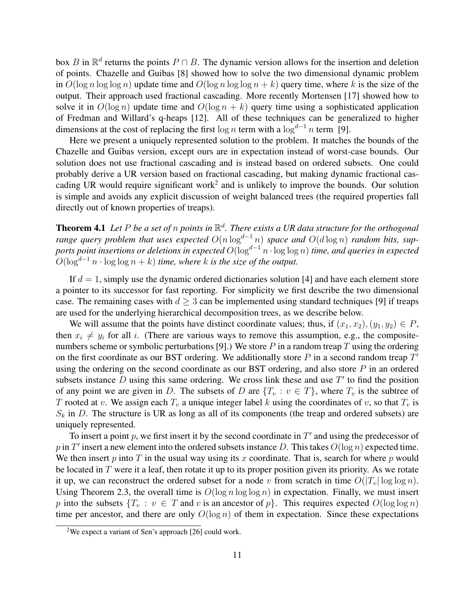box B in  $\mathbb{R}^d$  returns the points  $P \cap B$ . The dynamic version allows for the insertion and deletion of points. Chazelle and Guibas [\[8\]](#page-24-7) showed how to solve the two dimensional dynamic problem in  $O(\log n \log \log n)$  update time and  $O(\log n \log \log n + k)$  query time, where k is the size of the output. Their approach used fractional cascading. More recently Mortensen [\[17\]](#page-24-9) showed how to solve it in  $O(\log n)$  update time and  $O(\log n + k)$  query time using a sophisticated application of Fredman and Willard's q-heaps [\[12\]](#page-24-13). All of these techniques can be generalized to higher dimensions at the cost of replacing the first log n term with a log<sup>d-1</sup> n term [\[9\]](#page-24-14).

Here we present a uniquely represented solution to the problem. It matches the bounds of the Chazelle and Guibas version, except ours are in expectation instead of worst-case bounds. Our solution does not use fractional cascading and is instead based on ordered subsets. One could probably derive a UR version based on fractional cascading, but making dynamic fractional cascading UR would require significant work<sup>2</sup> and is unlikely to improve the bounds. Our solution is simple and avoids any explicit discussion of weight balanced trees (the required properties fall directly out of known properties of treaps).

<span id="page-12-0"></span>**Theorem 4.1** Let P be a set of n points in  $\mathbb{R}^d$ . There exists a UR data structure for the orthogonal *range query problem that uses expected*  $O(n \log^{d-1} n)$  *space and*  $O(d \log n)$  *random bits, supports point insertions or deletions in expected*  $O(log^{d-1}n \cdot log log n)$  *time, and queries in expected*  $O(\log^{d-1} n \cdot \log \log n + k)$  *time, where* k *is the size of the output.* 

If  $d = 1$ , simply use the dynamic ordered dictionaries solution [\[4\]](#page-23-2) and have each element store a pointer to its successor for fast reporting. For simplicity we first describe the two dimensional case. The remaining cases with  $d \geq 3$  can be implemented using standard techniques [\[9\]](#page-24-14) if treaps are used for the underlying hierarchical decomposition trees, as we describe below.

We will assume that the points have distinct coordinate values; thus, if  $(x_1, x_2), (y_1, y_2) \in P$ , then  $x_i \neq y_i$  for all i. (There are various ways to remove this assumption, e.g., the composite-numbers scheme or symbolic perturbations [\[9\]](#page-24-14).) We store P in a random treap T using the ordering on the first coordinate as our BST ordering. We additionally store  $P$  in a second random treap  $T'$ using the ordering on the second coordinate as our BST ordering, and also store  $P$  in an ordered subsets instance  $D$  using this same ordering. We cross link these and use  $T'$  to find the position of any point we are given in D. The subsets of D are  $\{T_v : v \in T\}$ , where  $T_v$  is the subtree of T rooted at v. We assign each  $T_v$  a unique integer label k using the coordinates of v, so that  $T_v$  is  $S_k$  in D. The structure is UR as long as all of its components (the treap and ordered subsets) are uniquely represented.

To insert a point p, we first insert it by the second coordinate in  $T'$  and using the predecessor of p in T' insert a new element into the ordered subsets instance D. This takes  $O(\log n)$  expected time. We then insert p into T in the usual way using its x coordinate. That is, search for where p would be located in  $T$  were it a leaf, then rotate it up to its proper position given its priority. As we rotate it up, we can reconstruct the ordered subset for a node v from scratch in time  $O(|T_v| \log \log n)$ . Using Theorem [2.3,](#page-5-0) the overall time is  $O(\log n \log \log n)$  in expectation. Finally, we must insert p into the subsets  $\{T_v : v \in T \text{ and } v \text{ is an ancestor of } p\}$ . This requires expected  $O(\log \log n)$ time per ancestor, and there are only  $O(\log n)$  of them in expectation. Since these expectations

<sup>&</sup>lt;sup>2</sup>We expect a variant of Sen's approach  $[26]$  could work.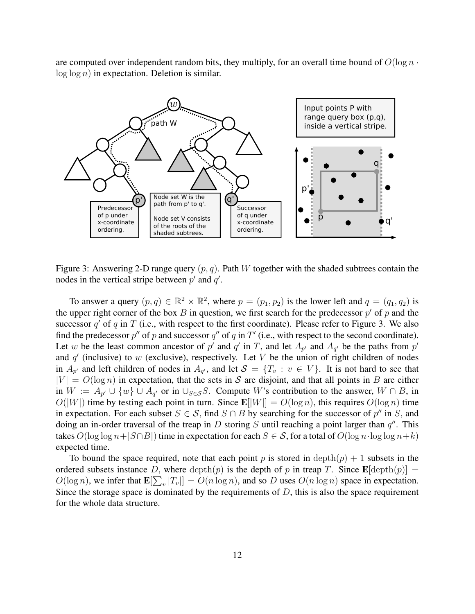are computed over independent random bits, they multiply, for an overall time bound of  $O(\log n \cdot$  $log log n$ ) in expectation. Deletion is similar.



<span id="page-13-0"></span>Figure 3: Answering 2-D range query  $(p, q)$ . Path W together with the shaded subtrees contain the nodes in the vertical stripe between  $p'$  and  $q'$ .

To answer a query  $(p, q) \in \mathbb{R}^2 \times \mathbb{R}^2$ , where  $p = (p_1, p_2)$  is the lower left and  $q = (q_1, q_2)$  is the upper right corner of the box  $B$  in question, we first search for the predecessor  $p'$  of  $p$  and the successor  $q'$  of q in T (i.e., with respect to the first coordinate). Please refer to Figure [3.](#page-13-0) We also find the predecessor  $p''$  of p and successor  $q''$  of q in  $T'$  (i.e., with respect to the second coordinate). Let w be the least common ancestor of p' and q' in T, and let  $A_{p'}$  and  $A_{q'}$  be the paths from p' and  $q'$  (inclusive) to w (exclusive), respectively. Let V be the union of right children of nodes in  $A_{p'}$  and left children of nodes in  $A_{q'}$ , and let  $S = \{T_v : v \in V\}$ . It is not hard to see that  $|V| = O(\log n)$  in expectation, that the sets in S are disjoint, and that all points in B are either in  $W := A_{p'} \cup \{w\} \cup A_{q'}$  or in  $\cup_{S \in \mathcal{S}} S$ . Compute W's contribution to the answer,  $W \cap B$ , in  $O(|W|)$  time by testing each point in turn. Since  $\mathbf{E}[|W|] = O(\log n)$ , this requires  $O(\log n)$  time in expectation. For each subset  $S \in \mathcal{S}$ , find  $S \cap B$  by searching for the successor of  $p''$  in S, and doing an in-order traversal of the treap in D storing S until reaching a point larger than  $q''$ . This takes  $O(\log \log n+|S\cap B|)$  time in expectation for each  $S \in \mathcal{S}$ , for a total of  $O(\log n \cdot \log \log n+k)$ expected time.

To bound the space required, note that each point p is stored in  $\text{depth}(p) + 1$  subsets in the ordered subsets instance D, where  $\text{depth}(p)$  is the depth of p in treap T. Since  $\mathbf{E}[\text{depth}(p)] =$  $O(\log n)$ , we infer that  $\mathbf{E}[\sum_{v} |T_{v}|] = O(n \log n)$ , and so D uses  $O(n \log n)$  space in expectation. Since the storage space is dominated by the requirements of  $D$ , this is also the space requirement for the whole data structure.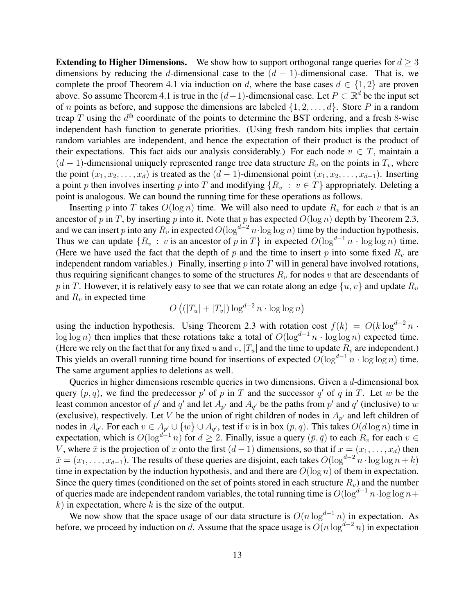**Extending to Higher Dimensions.** We show how to support orthogonal range queries for  $d \geq 3$ dimensions by reducing the d-dimensional case to the  $(d - 1)$ -dimensional case. That is, we complete the proof Theorem [4.1](#page-12-0) via induction on d, where the base cases  $d \in \{1,2\}$  are proven above. So assume Theorem [4.1](#page-12-0) is true in the  $(d-1)$ -dimensional case. Let  $P \subset \mathbb{R}^d$  be the input set of *n* points as before, and suppose the dimensions are labeled  $\{1, 2, \ldots, d\}$ . Store *P* in a random treap T using the  $d<sup>th</sup>$  coordinate of the points to determine the BST ordering, and a fresh 8-wise independent hash function to generate priorities. (Using fresh random bits implies that certain random variables are independent, and hence the expectation of their product is the product of their expectations. This fact aids our analysis considerably.) For each node  $v \in T$ , maintain a  $(d-1)$ -dimensional uniquely represented range tree data structure  $R_v$  on the points in  $T_v$ , where the point  $(x_1, x_2, \ldots, x_d)$  is treated as the  $(d-1)$ -dimensional point  $(x_1, x_2, \ldots, x_{d-1})$ . Inserting a point p then involves inserting p into T and modifying  $\{R_v : v \in T\}$  appropriately. Deleting a point is analogous. We can bound the running time for these operations as follows.

Inserting p into T takes  $O(\log n)$  time. We will also need to update  $R_v$  for each v that is an ancestor of p in T, by inserting p into it. Note that p has expected  $O(\log n)$  depth by Theorem [2.3,](#page-5-0) and we can insert p into any  $R_v$  in expected  $O(\log^{d-2} n \cdot \log \log n)$  time by the induction hypothesis, Thus we can update  $\{R_v : v \text{ is an ancestor of } p \text{ in } T\}$  in expected  $O(\log^{d-1} n \cdot \log \log n)$  time. (Here we have used the fact that the depth of p and the time to insert p into some fixed  $R<sub>v</sub>$  are independent random variables.) Finally, inserting  $p$  into  $T$  will in general have involved rotations, thus requiring significant changes to some of the structures  $R<sub>v</sub>$  for nodes v that are descendants of p in T. However, it is relatively easy to see that we can rotate along an edge  $\{u, v\}$  and update  $R_u$ and  $R_v$  in expected time

$$
O\left((|T_u| + |T_v|)\log^{d-2} n \cdot \log \log n\right)
$$

using the induction hypothesis. Using Theorem [2.3](#page-5-0) with rotation cost  $f(k) = O(k \log^{d-2} n \cdot$ log log n) then implies that these rotations take a total of  $O(\log^{d-1} n \cdot \log \log n)$  expected time. (Here we rely on the fact that for any fixed u and v,  $|T_u|$  and the time to update  $R_v$  are independent.) This yields an overall running time bound for insertions of expected  $O(\log^{d-1} n \cdot \log \log n)$  time. The same argument applies to deletions as well.

Queries in higher dimensions resemble queries in two dimensions. Given a d-dimensional box query  $(p, q)$ , we find the predecessor p' of p in T and the successor q' of q in T. Let w be the least common ancestor of  $p'$  and  $q'$  and let  $A_{p'}$  and  $A_{q'}$  be the paths from  $p'$  and  $q'$  (inclusive) to w (exclusive), respectively. Let V be the union of right children of nodes in  $A_{p'}$  and left children of nodes in  $A_{q'}$ . For each  $v \in A_{p'} \cup \{w\} \cup A_{q'}$ , test if v is in box  $(p, q)$ . This takes  $O(d \log n)$  time in expectation, which is  $O(\log^{d-1} n)$  for  $d \geq 2$ . Finally, issue a query  $(\bar{p}, \bar{q})$  to each  $R_v$  for each  $v \in$ V, where  $\bar{x}$  is the projection of x onto the first  $(d-1)$  dimensions, so that if  $x = (x_1, \ldots, x_d)$  then  $\bar{x} = (x_1, \ldots, x_{d-1})$ . The results of these queries are disjoint, each takes  $O(\log^{d-2} n \cdot \log \log n + k)$ time in expectation by the induction hypothesis, and and there are  $O(\log n)$  of them in expectation. Since the query times (conditioned on the set of points stored in each structure  $R_v$ ) and the number of queries made are independent random variables, the total running time is  $O(\log^{d-1} n \cdot \log \log n +$  $k$ ) in expectation, where k is the size of the output.

We now show that the space usage of our data structure is  $O(n \log^{d-1} n)$  in expectation. As before, we proceed by induction on d. Assume that the space usage is  $O(n \log^{d-2} n)$  in expectation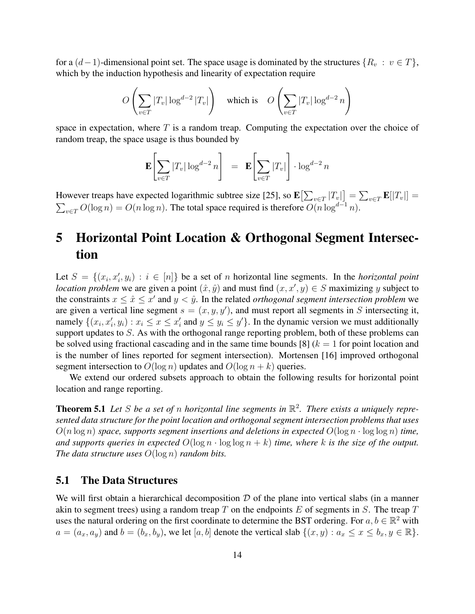for a  $(d-1)$ -dimensional point set. The space usage is dominated by the structures  $\{R_v : v \in T\}$ , which by the induction hypothesis and linearity of expectation require

$$
O\left(\sum_{v \in T} |T_v| \log^{d-2} |T_v|\right) \quad \text{which is} \quad O\left(\sum_{v \in T} |T_v| \log^{d-2} n\right)
$$

space in expectation, where  $T$  is a random treap. Computing the expectation over the choice of random treap, the space usage is thus bounded by

$$
\mathbf{E}\left[\sum_{v\in T}|T_v|\log^{d-2}n\right] = \mathbf{E}\left[\sum_{v\in T}|T_v|\right]\cdot\log^{d-2}n
$$

However treaps have expected logarithmic subtree size [\[25\]](#page-25-4), so  $\mathbf{E}[\sum_{v \in T} |T_v|] = \sum_{v \in T} \mathbf{E}[|T_v|] =$  $\sum_{v \in T} O(\log n) = O(n \log n)$ . The total space required is therefore  $O(n \log^{d-1} n)$ .

# 5 Horizontal Point Location & Orthogonal Segment Intersection

Let  $S = \{(x_i, x'_i, y_i) : i \in [n]\}$  be a set of *n* horizontal line segments. In the *horizontal point location problem* we are given a point  $(\hat{x}, \hat{y})$  and must find  $(x, x', y) \in S$  maximizing y subject to the constraints  $x \leq \hat{x} \leq x'$  and  $y < \hat{y}$ . In the related *orthogonal segment intersection problem* we are given a vertical line segment  $s = (x, y, y')$ , and must report all segments in S intersecting it, namely  $\{(x_i, x'_i, y_i) : x_i \le x \le x'_i \text{ and } y \le y_i \le y'\}$ . In the dynamic version we must additionally support updates to S. As with the orthogonal range reporting problem, both of these problems can be solved using fractional cascading and in the same time bounds [\[8\]](#page-24-7)  $(k = 1$  for point location and is the number of lines reported for segment intersection). Mortensen [\[16\]](#page-24-8) improved orthogonal segment intersection to  $O(\log n)$  updates and  $O(\log n + k)$  queries.

We extend our ordered subsets approach to obtain the following results for horizontal point location and range reporting.

**Theorem 5.1** Let S be a set of n horizontal line segments in  $\mathbb{R}^2$ . There exists a uniquely repre*sented data structure for the point location and orthogonal segment intersection problems that uses*  $O(n \log n)$  *space, supports segment insertions and deletions in expected*  $O(\log n \cdot \log \log n)$  *time, and supports queries in expected*  $O(\log n \cdot \log \log n + k)$  *time, where* k *is the size of the output. The data structure uses*  $O(\log n)$  *random bits.* 

#### <span id="page-15-0"></span>5.1 The Data Structures

We will first obtain a hierarchical decomposition  $D$  of the plane into vertical slabs (in a manner akin to segment trees) using a random treap  $T$  on the endpoints  $E$  of segments in  $S$ . The treap  $T$ uses the natural ordering on the first coordinate to determine the BST ordering. For  $a, b \in \mathbb{R}^2$  with  $a = (a_x, a_y)$  and  $b = (b_x, b_y)$ , we let  $[a, b]$  denote the vertical slab  $\{(x, y) : a_x \le x \le b_x, y \in \mathbb{R}\}.$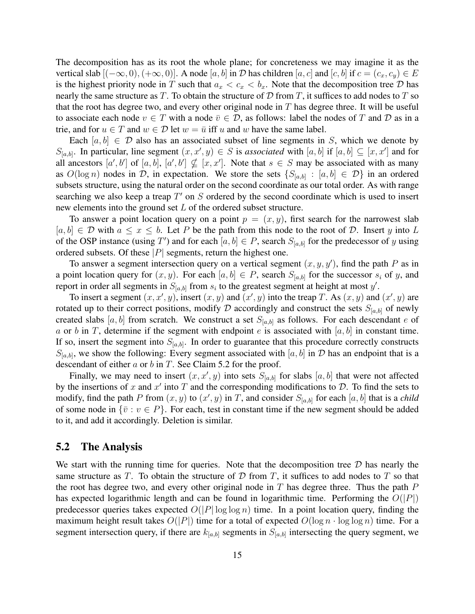The decomposition has as its root the whole plane; for concreteness we may imagine it as the vertical slab  $[(-\infty, 0), (+\infty, 0)]$ . A node  $[a, b]$  in D has children  $[a, c]$  and  $[c, b]$  if  $c = (c_x, c_y) \in E$ is the highest priority node in T such that  $a_x < c_x < b_x$ . Note that the decomposition tree D has nearly the same structure as T. To obtain the structure of D from T, it suffices to add nodes to T so that the root has degree two, and every other original node in  $T$  has degree three. It will be useful to associate each node  $v \in T$  with a node  $\overline{v} \in \mathcal{D}$ , as follows: label the nodes of T and D as in a trie, and for  $u \in T$  and  $w \in \mathcal{D}$  let  $w = \bar{u}$  iff u and w have the same label.

Each  $[a, b] \in \mathcal{D}$  also has an associated subset of line segments in S, which we denote by  $S_{[a,b]}$ . In particular, line segment  $(x, x', y) \in S$  is *associated* with  $[a, b]$  if  $[a, b] \subseteq [x, x']$  and for all ancestors  $[a', b']$  of  $[a, b]$ ,  $[a', b'] \nsubseteq [x, x']$ . Note that  $s \in S$  may be associated with as many as  $O(\log n)$  nodes in  $D$ , in expectation. We store the sets  $\{S_{[a,b]} : [a,b] \in D\}$  in an ordered subsets structure, using the natural order on the second coordinate as our total order. As with range searching we also keep a treap  $T'$  on  $S$  ordered by the second coordinate which is used to insert new elements into the ground set L of the ordered subset structure.

To answer a point location query on a point  $p = (x, y)$ , first search for the narrowest slab  $[a, b] \in \mathcal{D}$  with  $a \leq x \leq b$ . Let P be the path from this node to the root of D. Insert y into L of the OSP instance (using T') and for each  $[a, b] \in P$ , search  $S_{[a,b]}$  for the predecessor of y using ordered subsets. Of these  $|P|$  segments, return the highest one.

To answer a segment intersection query on a vertical segment  $(x, y, y')$ , find the path P as in a point location query for  $(x, y)$ . For each  $[a, b] \in P$ , search  $S_{[a, b]}$  for the successor  $s_i$  of y, and report in order all segments in  $S_{[a,b]}$  from  $s_i$  to the greatest segment at height at most  $y'$ .

To insert a segment  $(x, x', y)$ , insert  $(x, y)$  and  $(x', y)$  into the treap T. As  $(x, y)$  and  $(x', y)$  are rotated up to their correct positions, modify D accordingly and construct the sets  $S_{[a,b]}$  of newly created slabs  $[a, b]$  from scratch. We construct a set  $S_{[a,b]}$  as follows. For each descendant e of a or b in T, determine if the segment with endpoint e is associated with  $[a, b]$  in constant time. If so, insert the segment into  $S_{[a,b]}$ . In order to guarantee that this procedure correctly constructs  $S_{[a,b]}$ , we show the following: Every segment associated with  $[a,b]$  in  $D$  has an endpoint that is a descendant of either  $a$  or  $b$  in  $T$ . See Claim [5.2](#page-17-0) for the proof.

Finally, we may need to insert  $(x, x', y)$  into sets  $S_{[a,b]}$  for slabs  $[a, b]$  that were not affected by the insertions of x and x' into T and the corresponding modifications to  $D$ . To find the sets to modify, find the path P from  $(x, y)$  to  $(x', y)$  in T, and consider  $S_{[a,b]}$  for each  $[a, b]$  that is a *child* of some node in  $\{\bar{v}: v \in P\}$ . For each, test in constant time if the new segment should be added to it, and add it accordingly. Deletion is similar.

### 5.2 The Analysis

We start with the running time for queries. Note that the decomposition tree  $D$  has nearly the same structure as T. To obtain the structure of  $D$  from T, it suffices to add nodes to T so that the root has degree two, and every other original node in  $T$  has degree three. Thus the path  $P$ has expected logarithmic length and can be found in logarithmic time. Performing the  $O(|P|)$ predecessor queries takes expected  $O(|P| \log \log n)$  time. In a point location query, finding the maximum height result takes  $O(|P|)$  time for a total of expected  $O(\log n \cdot \log \log n)$  time. For a segment intersection query, if there are  $k_{[a,b]}$  segments in  $S_{[a,b]}$  intersecting the query segment, we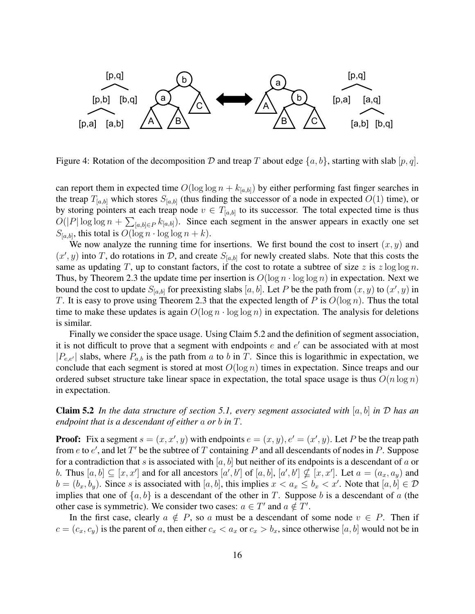

Figure 4: Rotation of the decomposition D and treap T about edge  $\{a, b\}$ , starting with slab  $[p, q]$ .

can report them in expected time  $O(\log \log n + k_{[a,b]})$  by either performing fast finger searches in the treap  $T_{[a,b]}$  which stores  $S_{[a,b]}$  (thus finding the successor of a node in expected  $O(1)$  time), or by storing pointers at each treap node  $v \in T_{[a,b]}$  to its successor. The total expected time is thus  $O(|P| \log \log n + \sum_{[a,b] \in P} k_{[a,b]}).$  Since each segment in the answer appears in exactly one set  $S_{[a,b]}$ , this total is  $O(\log n \cdot \log \log n + k)$ .

We now analyze the running time for insertions. We first bound the cost to insert  $(x, y)$  and  $(x', y)$  into T, do rotations in D, and create  $S_{[a,b]}$  for newly created slabs. Note that this costs the same as updating T, up to constant factors, if the cost to rotate a subtree of size z is  $z \log \log n$ . Thus, by Theorem [2.3](#page-5-0) the update time per insertion is  $O(\log n \cdot \log \log n)$  in expectation. Next we bound the cost to update  $S_{[a,b]}$  for preexisting slabs  $[a,b]$ . Let P be the path from  $(x, y)$  to  $(x', y)$  in T. It is easy to prove using Theorem [2.3](#page-5-0) that the expected length of P is  $O(\log n)$ . Thus the total time to make these updates is again  $O(\log n \cdot \log \log n)$  in expectation. The analysis for deletions is similar.

Finally we consider the space usage. Using Claim [5.2](#page-17-0) and the definition of segment association, it is not difficult to prove that a segment with endpoints  $e$  and  $e'$  can be associated with at most  $|P_{e,e'}|$  slabs, where  $P_{a,b}$  is the path from a to b in T. Since this is logarithmic in expectation, we conclude that each segment is stored at most  $O(\log n)$  times in expectation. Since treaps and our ordered subset structure take linear space in expectation, the total space usage is thus  $O(n \log n)$ in expectation.

<span id="page-17-0"></span>Claim 5.2 *In the data structure of section [5.1,](#page-15-0) every segment associated with* [a, b] *in* D *has an endpoint that is a descendant of either* a *or* b *in* T*.*

**Proof:** Fix a segment  $s = (x, x', y)$  with endpoints  $e = (x, y), e' = (x', y)$ . Let P be the treap path from e to  $e'$ , and let T' be the subtree of T containing P and all descendants of nodes in P. Suppose for a contradiction that s is associated with [a, b] but neither of its endpoints is a descendant of a or b. Thus  $[a, b] \subseteq [x, x']$  and for all ancestors  $[a', b']$  of  $[a, b]$ ,  $[a', b'] \nsubseteq [x, x']$ . Let  $a = (a_x, a_y)$  and  $b = (b_x, b_y)$ . Since s is associated with  $[a, b]$ , this implies  $x < a_x \leq b_x < x'$ . Note that  $[a, b] \in \mathcal{D}$ implies that one of  $\{a, b\}$  is a descendant of the other in T. Suppose b is a descendant of a (the other case is symmetric). We consider two cases:  $a \in T'$  and  $a \notin T'$ .

In the first case, clearly  $a \notin P$ , so a must be a descendant of some node  $v \in P$ . Then if  $c = (c_x, c_y)$  is the parent of a, then either  $c_x < a_x$  or  $c_x > b_x$ , since otherwise [a, b] would not be in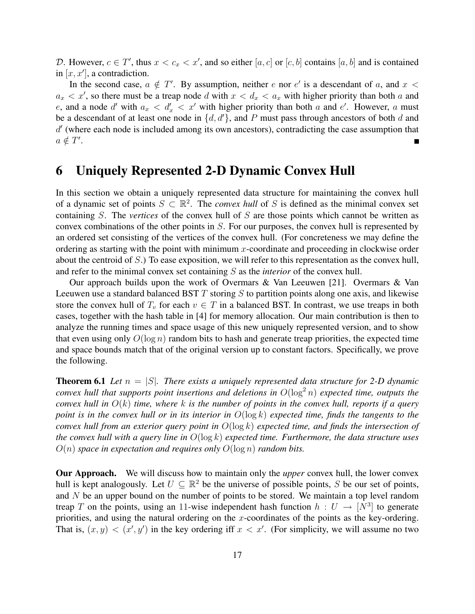D. However,  $c \in T'$ , thus  $x < c_x < x'$ , and so either  $[a, c]$  or  $[c, b]$  contains  $[a, b]$  and is contained in  $[x, x']$ , a contradiction.

In the second case,  $a \notin T'$ . By assumption, neither e nor e' is a descendant of a, and  $x <$  $a_x < x'$ , so there must be a treap node d with  $x < d_x < a_x$  with higher priority than both a and e, and a node d' with  $a_x < d'_x < x'$  with higher priority than both a and e'. However, a must be a descendant of at least one node in  $\{d, d'\}$ , and P must pass through ancestors of both d and  $d'$  (where each node is included among its own ancestors), contradicting the case assumption that  $a \notin T'.$ 

## 6 Uniquely Represented 2-D Dynamic Convex Hull

In this section we obtain a uniquely represented data structure for maintaining the convex hull of a dynamic set of points  $S \subset \mathbb{R}^2$ . The *convex hull* of S is defined as the minimal convex set containing S. The *vertices* of the convex hull of S are those points which cannot be written as convex combinations of the other points in  $S$ . For our purposes, the convex hull is represented by an ordered set consisting of the vertices of the convex hull. (For concreteness we may define the ordering as starting with the point with minimum  $x$ -coordinate and proceeding in clockwise order about the centroid of S.) To ease exposition, we will refer to this representation as the convex hull, and refer to the minimal convex set containing S as the *interior* of the convex hull.

Our approach builds upon the work of Overmars  $\&$  Van Leeuwen [\[21\]](#page-25-8). Overmars  $\&$  Van Leeuwen use a standard balanced BST  $T$  storing  $S$  to partition points along one axis, and likewise store the convex hull of  $T_v$  for each  $v \in T$  in a balanced BST. In contrast, we use treaps in both cases, together with the hash table in [\[4\]](#page-23-2) for memory allocation. Our main contribution is then to analyze the running times and space usage of this new uniquely represented version, and to show that even using only  $O(\log n)$  random bits to hash and generate treap priorities, the expected time and space bounds match that of the original version up to constant factors. Specifically, we prove the following.

**Theorem 6.1** Let  $n = |S|$ . There exists a uniquely represented data structure for 2-D dynamic *convex hull that supports point insertions and deletions in*  $O(log^2 n)$  *expected time, outputs the convex hull in*  $O(k)$  *time, where* k *is the number of points in the convex hull, reports if a query point is in the convex hull or in its interior in* O(log k) *expected time, finds the tangents to the convex hull from an exterior query point in* O(log k) *expected time, and finds the intersection of the convex hull with a query line in* O(log k) *expected time. Furthermore, the data structure uses*  $O(n)$  *space in expectation and requires only*  $O(\log n)$  *random bits.* 

Our Approach. We will discuss how to maintain only the *upper* convex hull, the lower convex hull is kept analogously. Let  $U \subseteq \mathbb{R}^2$  be the universe of possible points, S be our set of points, and N be an upper bound on the number of points to be stored. We maintain a top level random treap T on the points, using an 11-wise independent hash function  $h: U \to [N^3]$  to generate priorities, and using the natural ordering on the x-coordinates of the points as the key-ordering. That is,  $(x, y) < (x', y')$  in the key ordering iff  $x < x'$ . (For simplicity, we will assume no two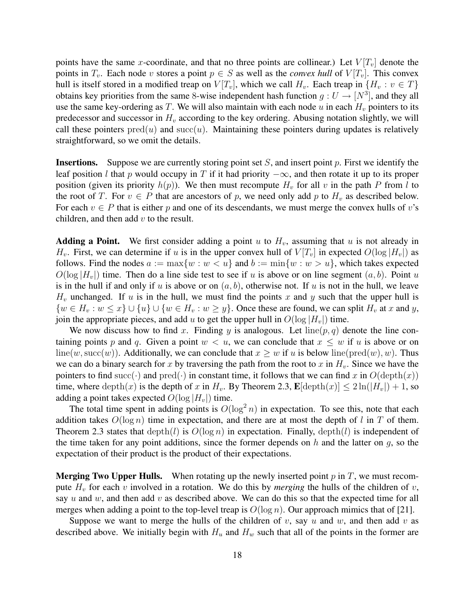points have the same x-coordinate, and that no three points are collinear.) Let  $V[T_v]$  denote the points in  $T_v$ . Each node v stores a point  $p \in S$  as well as the *convex hull* of  $V[T_v]$ . This convex hull is itself stored in a modified treap on  $V[T_v]$ , which we call  $H_v$ . Each treap in  $\{H_v : v \in T\}$ obtains key priorities from the same 8-wise independent hash function  $g: U \to [N^3]$ , and they all use the same key-ordering as T. We will also maintain with each node u in each  $H<sub>v</sub>$  pointers to its predecessor and successor in  $H<sub>v</sub>$  according to the key ordering. Abusing notation slightly, we will call these pointers  $pred(u)$  and  $succ(u)$ . Maintaining these pointers during updates is relatively straightforward, so we omit the details.

**Insertions.** Suppose we are currently storing point set  $S$ , and insert point  $p$ . First we identify the leaf position l that p would occupy in T if it had priority  $-\infty$ , and then rotate it up to its proper position (given its priority  $h(p)$ ). We then must recompute  $H<sub>v</sub>$  for all v in the path P from l to the root of T. For  $v \in P$  that are ancestors of p, we need only add p to  $H_v$  as described below. For each  $v \in P$  that is either p and one of its descendants, we must merge the convex hulls of v's children, and then add  $v$  to the result.

**Adding a Point.** We first consider adding a point u to  $H_v$ , assuming that u is not already in  $H_v$ . First, we can determine if u is in the upper convex hull of  $V[T_v]$  in expected  $O(\log |H_v|)$  as follows. Find the nodes  $a := \max\{w : w < u\}$  and  $b := \min\{w : w > u\}$ , which takes expected  $O(\log |H_u|)$  time. Then do a line side test to see if u is above or on line segment  $(a, b)$ . Point u is in the hull if and only if u is above or on  $(a, b)$ , otherwise not. If u is not in the hull, we leave  $H<sub>v</sub>$  unchanged. If u is in the hull, we must find the points x and y such that the upper hull is  $\{w \in H_v : w \leq x\} \cup \{u\} \cup \{w \in H_v : w \geq y\}.$  Once these are found, we can split  $H_v$  at x and y, join the appropriate pieces, and add u to get the upper hull in  $O(\log |H_v|)$  time.

We now discuss how to find x. Finding y is analogous. Let  $\text{line}(p, q)$  denote the line containing points p and q. Given a point  $w < u$ , we can conclude that  $x \leq w$  if u is above or on line(w, succ(w)). Additionally, we can conclude that  $x \geq w$  if u is below line(pred(w), w). Thus we can do a binary search for x by traversing the path from the root to x in  $H_v$ . Since we have the pointers to find succ( $\cdot$ ) and pred( $\cdot$ ) in constant time, it follows that we can find x in  $O(\text{depth}(x))$ time, where depth $(x)$  is the depth of x in  $H_v$ . By Theorem [2.3,](#page-5-0)  $\mathbf{E}[\text{depth}(x)] \leq 2\ln(|H_v|) + 1$ , so adding a point takes expected  $O(\log |H_v|)$  time.

The total time spent in adding points is  $O(\log^2 n)$  in expectation. To see this, note that each addition takes  $O(\log n)$  time in expectation, and there are at most the depth of l in T of them. Theorem [2.3](#page-5-0) states that  $\text{depth}(l)$  is  $O(\log n)$  in expectation. Finally,  $\text{depth}(l)$  is independent of the time taken for any point additions, since the former depends on  $h$  and the latter on  $g$ , so the expectation of their product is the product of their expectations.

**Merging Two Upper Hulls.** When rotating up the newly inserted point p in T, we must recompute  $H<sub>v</sub>$  for each v involved in a rotation. We do this by *merging* the hulls of the children of v, say  $u$  and  $w$ , and then add  $v$  as described above. We can do this so that the expected time for all merges when adding a point to the top-level treap is  $O(\log n)$ . Our approach mimics that of [\[21\]](#page-25-8).

Suppose we want to merge the hulls of the children of v, say u and w, and then add v as described above. We initially begin with  $H_u$  and  $H_w$  such that all of the points in the former are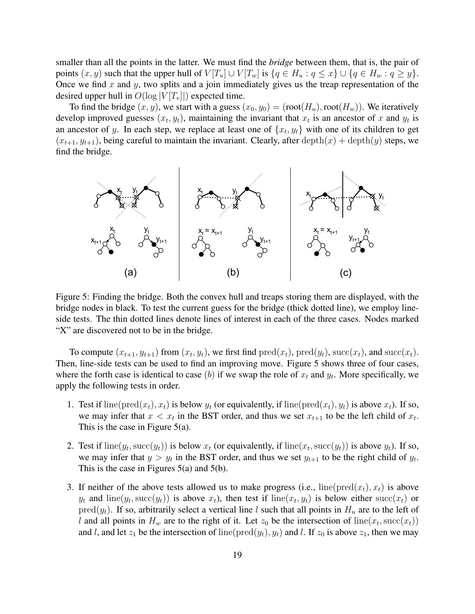smaller than all the points in the latter. We must find the *bridge* between them, that is, the pair of points  $(x, y)$  such that the upper hull of  $V[T_u] \cup V[T_w]$  is  $\{q \in H_u : q \leq x\} \cup \{q \in H_w : q \geq y\}.$ Once we find  $x$  and  $y$ , two splits and a join immediately gives us the treap representation of the desired upper hull in  $O(\log |V|T_v|)$  expected time.

To find the bridge  $(x, y)$ , we start with a guess  $(x_0, y_0) = (root(H_u), root(H_w))$ . We iteratively develop improved guesses  $(x_t, y_t)$ , maintaining the invariant that  $x_t$  is an ancestor of x and  $y_t$  is an ancestor of y. In each step, we replace at least one of  $\{x_t, y_t\}$  with one of its children to get  $(x_{t+1}, y_{t+1})$ , being careful to maintain the invariant. Clearly, after  $\text{depth}(x) + \text{depth}(y)$  steps, we find the bridge.



<span id="page-20-0"></span>Figure 5: Finding the bridge. Both the convex hull and treaps storing them are displayed, with the bridge nodes in black. To test the current guess for the bridge (thick dotted line), we employ lineside tests. The thin dotted lines denote lines of interest in each of the three cases. Nodes marked "X" are discovered not to be in the bridge.

To compute  $(x_{t+1}, y_{t+1})$  from  $(x_t, y_t)$ , we first find  $pred(x_t)$ ,  $pred(y_t)$ ,  $succ(x_t)$ , and  $succ(x_t)$ . Then, line-side tests can be used to find an improving move. Figure [5](#page-20-0) shows three of four cases, where the forth case is identical to case (b) if we swap the role of  $x_t$  and  $y_t$ . More specifically, we apply the following tests in order.

- 1. Test if line( $\text{pred}(x_t)$ ,  $x_t$ ) is below  $y_t$  (or equivalently, if line( $\text{pred}(x_t)$ ,  $y_t$ ) is above  $x_t$ ). If so, we may infer that  $x < x_t$  in the BST order, and thus we set  $x_{t+1}$  to be the left child of  $x_t$ . This is the case in Figure  $5(a)$ .
- 2. Test if  $\text{line}(y_t, \text{succ}(y_t))$  is below  $x_t$  (or equivalently, if  $\text{line}(x_t, \text{succ}(y_t))$  is above  $y_t$ ). If so, we may infer that  $y > y_t$  in the BST order, and thus we set  $y_{t+1}$  to be the right child of  $y_t$ . This is the case in Figures [5\(](#page-20-0)a) and [5\(](#page-20-0)b).
- 3. If neither of the above tests allowed us to make progress (i.e., line( $\text{pred}(x_t)$ ,  $x_t$ ) is above  $y_t$  and  $\text{line}(y_t, \text{succ}(y_t))$  is above  $x_t$ ), then test if  $\text{line}(x_t, y_t)$  is below either  $\text{succ}(x_t)$  or  $pred(y_t)$ . If so, arbitrarily select a vertical line l such that all points in  $H_u$  are to the left of l and all points in  $H_w$  are to the right of it. Let  $z_0$  be the intersection of  $\text{line}(x_t, \text{succ}(x_t))$ and l, and let  $z_1$  be the intersection of line(pred( $y_t$ ),  $y_t$ ) and l. If  $z_0$  is above  $z_1$ , then we may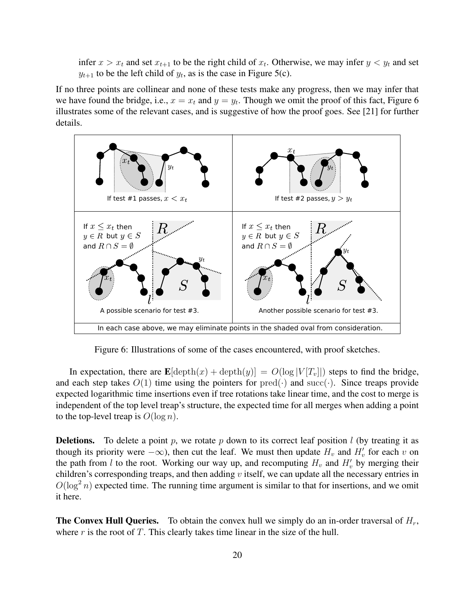infer  $x > x_t$  and set  $x_{t+1}$  to be the right child of  $x_t$ . Otherwise, we may infer  $y < y_t$  and set  $y_{t+1}$  to be the left child of  $y_t$ , as is the case in Figure [5\(](#page-20-0)c).

If no three points are collinear and none of these tests make any progress, then we may infer that we have found the bridge, i.e.,  $x = x_t$  and  $y = y_t$ . Though we omit the proof of this fact, Figure [6](#page-21-0) illustrates some of the relevant cases, and is suggestive of how the proof goes. See [\[21\]](#page-25-8) for further details.



<span id="page-21-0"></span>Figure 6: Illustrations of some of the cases encountered, with proof sketches.

In expectation, there are  $\mathbf{E}[\text{depth}(x) + \text{depth}(y)] = O(\log |V[T_v]|)$  steps to find the bridge, and each step takes  $O(1)$  time using the pointers for pred( $\cdot$ ) and succ( $\cdot$ ). Since treaps provide expected logarithmic time insertions even if tree rotations take linear time, and the cost to merge is independent of the top level treap's structure, the expected time for all merges when adding a point to the top-level treap is  $O(\log n)$ .

**Deletions.** To delete a point p, we rotate p down to its correct leaf position  $l$  (by treating it as though its priority were  $-\infty$ ), then cut the leaf. We must then update  $H_v$  and  $H'_v$  for each v on the path from l to the root. Working our way up, and recomputing  $H_v$  and  $H'_v$  by merging their children's corresponding treaps, and then adding  $v$  itself, we can update all the necessary entries in  $O(\log^2 n)$  expected time. The running time argument is similar to that for insertions, and we omit it here.

**The Convex Hull Queries.** To obtain the convex hull we simply do an in-order traversal of  $H_r$ , where  $r$  is the root of  $T$ . This clearly takes time linear in the size of the hull.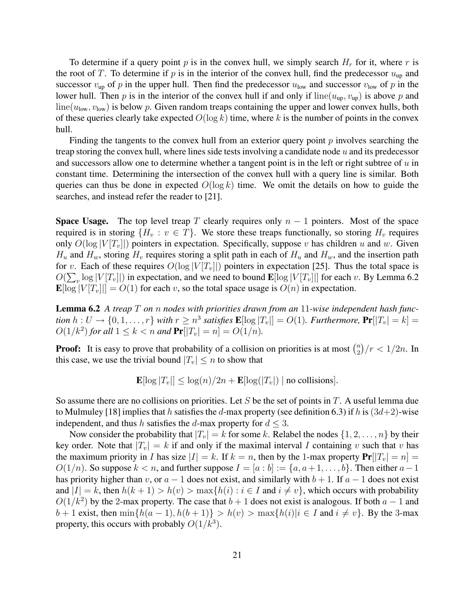To determine if a query point p is in the convex hull, we simply search  $H_r$  for it, where r is the root of T. To determine if p is in the interior of the convex hull, find the predecessor  $u_{\text{up}}$  and successor  $v_{\text{up}}$  of p in the upper hull. Then find the predecessor  $u_{\text{low}}$  and successor  $v_{\text{low}}$  of p in the lower hull. Then p is in the interior of the convex hull if and only if  $\text{line}(u_{\text{up}}, v_{\text{up}})$  is above p and  $\lim_{u \to u} (u_{low}, v_{low})$  is below p. Given random treaps containing the upper and lower convex hulls, both of these queries clearly take expected  $O(\log k)$  time, where k is the number of points in the convex hull.

Finding the tangents to the convex hull from an exterior query point  $p$  involves searching the treap storing the convex hull, where lines side tests involving a candidate node  $u$  and its predecessor and successors allow one to determine whether a tangent point is in the left or right subtree of  $u$  in constant time. Determining the intersection of the convex hull with a query line is similar. Both queries can thus be done in expected  $O(\log k)$  time. We omit the details on how to guide the searches, and instead refer the reader to [\[21\]](#page-25-8).

**Space Usage.** The top level treap T clearly requires only  $n - 1$  pointers. Most of the space required is in storing  $\{H_v : v \in T\}$ . We store these treaps functionally, so storing  $H_v$  requires only  $O(\log |V|T_v|)$  pointers in expectation. Specifically, suppose v has children u and w. Given  $H_u$  and  $H_w$ , storing  $H_v$  requires storing a split path in each of  $H_u$  and  $H_w$ , and the insertion path for v. Each of these requires  $O(\log |V[T_v]|)$  pointers in expectation [\[25\]](#page-25-4). Thus the total space is  $O(\sum_{v} \log |V[T_v]|)$  in expectation, and we need to bound  $\mathbf{E}[\log |V[T_v]|]$  for each v. By Lemma [6.2](#page-22-0)  $\mathbf{E}[\log |V[T_v]||] = O(1)$  for each v, so the total space usage is  $O(n)$  in expectation.

<span id="page-22-0"></span>Lemma 6.2 *A treap* T *on* n *nodes with priorities drawn from an* 11*-wise independent hash function*  $h: U \to \{0, 1, \ldots, r\}$  *with*  $r \geq n^3$  *satisfies*  $\mathbf{E}[\log |T_v|] = O(1)$ *. Furthermore,*  $\mathbf{Pr}[|T_v| = k] =$  $O(1/k^2)$  for all  $1 \leq k < n$  and  $Pr[|T_v| = n] = O(1/n)$ .

**Proof:** It is easy to prove that probability of a collision on priorities is at most  $\binom{n}{2}$  $\binom{n}{2}/r < 1/2n$ . In this case, we use the trivial bound  $|T_v| \leq n$  to show that

$$
\mathbf{E}[\log |T_v|] \le \log(n)/2n + \mathbf{E}[\log(|T_v|) | \text{no collisions}].
$$

So assume there are no collisions on priorities. Let S be the set of points in T. A useful lemma due to Mulmuley [\[18\]](#page-24-15) implies that h satisfies the d-max property (see definition [6.3\)](#page-23-4) if h is  $(3d+2)$ -wise independent, and thus h satisfies the d-max property for  $d \leq 3$ .

Now consider the probability that  $|T_v| = k$  for some k. Relabel the nodes  $\{1, 2, \ldots, n\}$  by their key order. Note that  $|T_v| = k$  if and only if the maximal interval I containing v such that v has the maximum priority in I has size  $|I| = k$ . If  $k = n$ , then by the 1-max property  $Pr[|T_v| = n] =$  $O(1/n)$ . So suppose  $k < n$ , and further suppose  $I = [a:b] := \{a, a+1, \ldots, b\}$ . Then either  $a-1$ has priority higher than v, or  $a - 1$  does not exist, and similarly with  $b + 1$ . If  $a - 1$  does not exist and  $|I| = k$ , then  $h(k + 1) > h(v) > \max\{h(i) : i \in I \text{ and } i \neq v\}$ , which occurs with probability  $O(1/k^2)$  by the 2-max property. The case that  $b + 1$  does not exist is analogous. If both  $a - 1$  and  $b+1$  exist, then  $\min\{h(a-1), h(b+1)\} > h(v) > \max\{h(i)|i \in I \text{ and } i \neq v\}$ . By the 3-max property, this occurs with probably  $O(1/k^3)$ .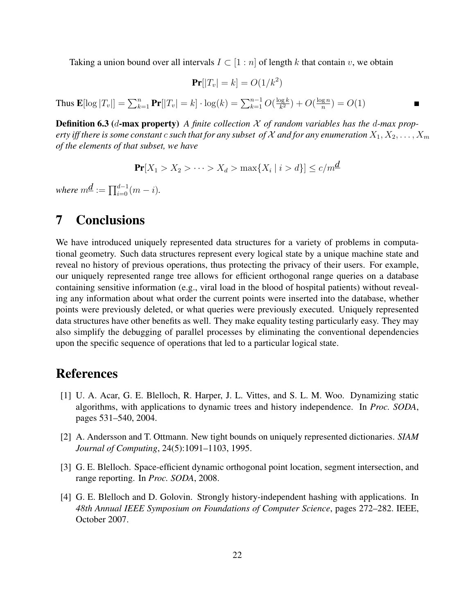Taking a union bound over all intervals  $I \subset [1:n]$  of length k that contain v, we obtain

$$
\mathbf{Pr}[|T_v| = k] = O(1/k^2)
$$

Thus  $\mathbf{E}[\log |T_v|]=\sum_{k=1}^n \mathbf{Pr}[|T_v|=k]\cdot \log(k)=\sum_{k=1}^{n-1}O(\frac{\log k}{k^2})$  $\frac{\log k}{k^2}$ ) +  $O(\frac{\log n}{n})$  $\frac{g n}{n}$ ) =  $O(1)$ 

<span id="page-23-4"></span>Definition 6.3 (d-max property) *A finite collection* X *of random variables has the* d*-max property iff there is some constant c such that for any subset of* X *and for any enumeration*  $X_1, X_2, \ldots, X_m$ *of the elements of that subset, we have*

$$
\mathbf{Pr}[X_1 > X_2 > \dots > X_d > \max\{X_i \mid i > d\}] \le c/m^{\underline{d}}
$$

*where*  $m^{\underline{d}} := \prod_{i=0}^{d-1} (m - i)$ *.* 

## 7 Conclusions

We have introduced uniquely represented data structures for a variety of problems in computational geometry. Such data structures represent every logical state by a unique machine state and reveal no history of previous operations, thus protecting the privacy of their users. For example, our uniquely represented range tree allows for efficient orthogonal range queries on a database containing sensitive information (e.g., viral load in the blood of hospital patients) without revealing any information about what order the current points were inserted into the database, whether points were previously deleted, or what queries were previously executed. Uniquely represented data structures have other benefits as well. They make equality testing particularly easy. They may also simplify the debugging of parallel processes by eliminating the conventional dependencies upon the specific sequence of operations that led to a particular logical state.

## References

- <span id="page-23-0"></span>[1] U. A. Acar, G. E. Blelloch, R. Harper, J. L. Vittes, and S. L. M. Woo. Dynamizing static algorithms, with applications to dynamic trees and history independence. In *Proc. SODA*, pages 531–540, 2004.
- <span id="page-23-1"></span>[2] A. Andersson and T. Ottmann. New tight bounds on uniquely represented dictionaries. *SIAM Journal of Computing*, 24(5):1091–1103, 1995.
- <span id="page-23-3"></span>[3] G. E. Blelloch. Space-efficient dynamic orthogonal point location, segment intersection, and range reporting. In *Proc. SODA*, 2008.
- <span id="page-23-2"></span>[4] G. E. Blelloch and D. Golovin. Strongly history-independent hashing with applications. In *48th Annual IEEE Symposium on Foundations of Computer Science*, pages 272–282. IEEE, October 2007.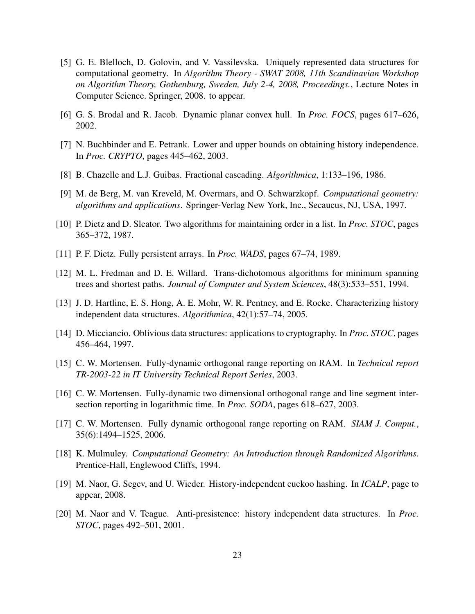- <span id="page-24-6"></span>[5] G. E. Blelloch, D. Golovin, and V. Vassilevska. Uniquely represented data structures for computational geometry. In *Algorithm Theory - SWAT 2008, 11th Scandinavian Workshop on Algorithm Theory, Gothenburg, Sweden, July 2-4, 2008, Proceedings.*, Lecture Notes in Computer Science. Springer, 2008. to appear.
- <span id="page-24-10"></span>[6] G. S. Brodal and R. Jacob. Dynamic planar convex hull. In *Proc. FOCS*, pages 617–626, 2002.
- <span id="page-24-3"></span>[7] N. Buchbinder and E. Petrank. Lower and upper bounds on obtaining history independence. In *Proc. CRYPTO*, pages 445–462, 2003.
- <span id="page-24-7"></span>[8] B. Chazelle and L.J. Guibas. Fractional cascading. *Algorithmica*, 1:133–196, 1986.
- <span id="page-24-14"></span>[9] M. de Berg, M. van Kreveld, M. Overmars, and O. Schwarzkopf. *Computational geometry: algorithms and applications*. Springer-Verlag New York, Inc., Secaucus, NJ, USA, 1997.
- <span id="page-24-4"></span>[10] P. Dietz and D. Sleator. Two algorithms for maintaining order in a list. In *Proc. STOC*, pages 365–372, 1987.
- <span id="page-24-11"></span>[11] P. F. Dietz. Fully persistent arrays. In *Proc. WADS*, pages 67–74, 1989.
- <span id="page-24-13"></span>[12] M. L. Fredman and D. E. Willard. Trans-dichotomous algorithms for minimum spanning trees and shortest paths. *Journal of Computer and System Sciences*, 48(3):533–551, 1994.
- <span id="page-24-2"></span>[13] J. D. Hartline, E. S. Hong, A. E. Mohr, W. R. Pentney, and E. Rocke. Characterizing history independent data structures. *Algorithmica*, 42(1):57–74, 2005.
- <span id="page-24-0"></span>[14] D. Micciancio. Oblivious data structures: applications to cryptography. In *Proc. STOC*, pages 456–464, 1997.
- <span id="page-24-12"></span>[15] C. W. Mortensen. Fully-dynamic orthogonal range reporting on RAM. In *Technical report TR-2003-22 in IT University Technical Report Series*, 2003.
- <span id="page-24-8"></span>[16] C. W. Mortensen. Fully-dynamic two dimensional orthogonal range and line segment intersection reporting in logarithmic time. In *Proc. SODA*, pages 618–627, 2003.
- <span id="page-24-9"></span>[17] C. W. Mortensen. Fully dynamic orthogonal range reporting on RAM. *SIAM J. Comput.*, 35(6):1494–1525, 2006.
- <span id="page-24-15"></span>[18] K. Mulmuley. *Computational Geometry: An Introduction through Randomized Algorithms*. Prentice-Hall, Englewood Cliffs, 1994.
- <span id="page-24-5"></span>[19] M. Naor, G. Segev, and U. Wieder. History-independent cuckoo hashing. In *ICALP*, page to appear, 2008.
- <span id="page-24-1"></span>[20] M. Naor and V. Teague. Anti-presistence: history independent data structures. In *Proc. STOC*, pages 492–501, 2001.